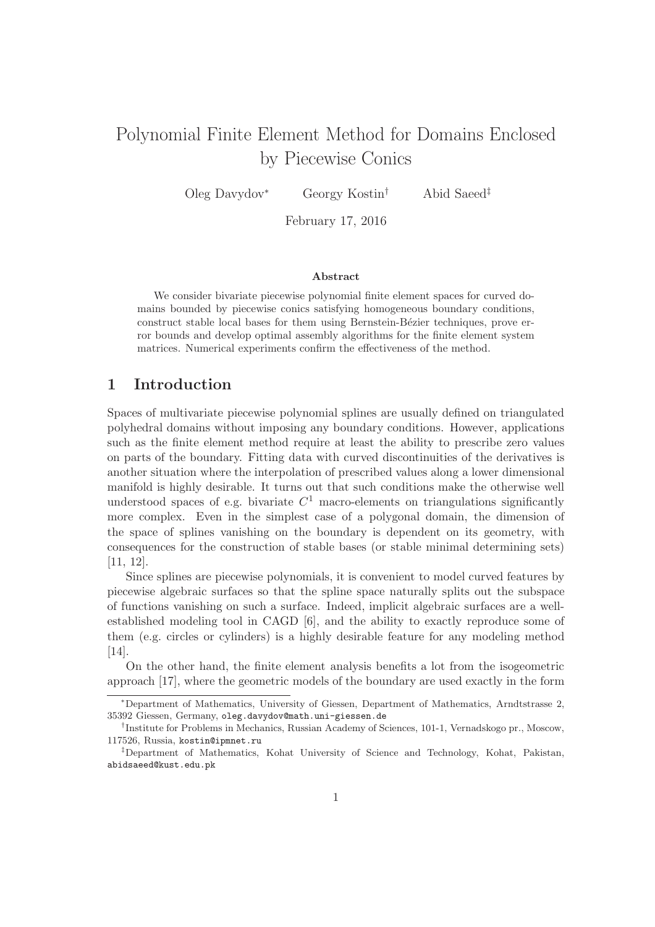# Polynomial Finite Element Method for Domains Enclosed by Piecewise Conics

Oleg Davydov<sup>∗</sup> Georgy Kostin† Abid Saeed‡

February 17, 2016

#### Abstract

We consider bivariate piecewise polynomial finite element spaces for curved domains bounded by piecewise conics satisfying homogeneous boundary conditions, construct stable local bases for them using Bernstein-Bézier techniques, prove error bounds and develop optimal assembly algorithms for the finite element system matrices. Numerical experiments confirm the effectiveness of the method.

# 1 Introduction

Spaces of multivariate piecewise polynomial splines are usually defined on triangulated polyhedral domains without imposing any boundary conditions. However, applications such as the finite element method require at least the ability to prescribe zero values on parts of the boundary. Fitting data with curved discontinuities of the derivatives is another situation where the interpolation of prescribed values along a lower dimensional manifold is highly desirable. It turns out that such conditions make the otherwise well understood spaces of e.g. bivariate  $C^1$  macro-elements on triangulations significantly more complex. Even in the simplest case of a polygonal domain, the dimension of the space of splines vanishing on the boundary is dependent on its geometry, with consequences for the construction of stable bases (or stable minimal determining sets) [11, 12].

Since splines are piecewise polynomials, it is convenient to model curved features by piecewise algebraic surfaces so that the spline space naturally splits out the subspace of functions vanishing on such a surface. Indeed, implicit algebraic surfaces are a wellestablished modeling tool in CAGD [6], and the ability to exactly reproduce some of them (e.g. circles or cylinders) is a highly desirable feature for any modeling method [14].

On the other hand, the finite element analysis benefits a lot from the isogeometric approach [17], where the geometric models of the boundary are used exactly in the form

<sup>∗</sup>Department of Mathematics, University of Giessen, Department of Mathematics, Arndtstrasse 2, 35392 Giessen, Germany, oleg.davydov@math.uni-giessen.de

<sup>†</sup> Institute for Problems in Mechanics, Russian Academy of Sciences, 101-1, Vernadskogo pr., Moscow, 117526, Russia, kostin@ipmnet.ru

<sup>‡</sup>Department of Mathematics, Kohat University of Science and Technology, Kohat, Pakistan, abidsaeed@kust.edu.pk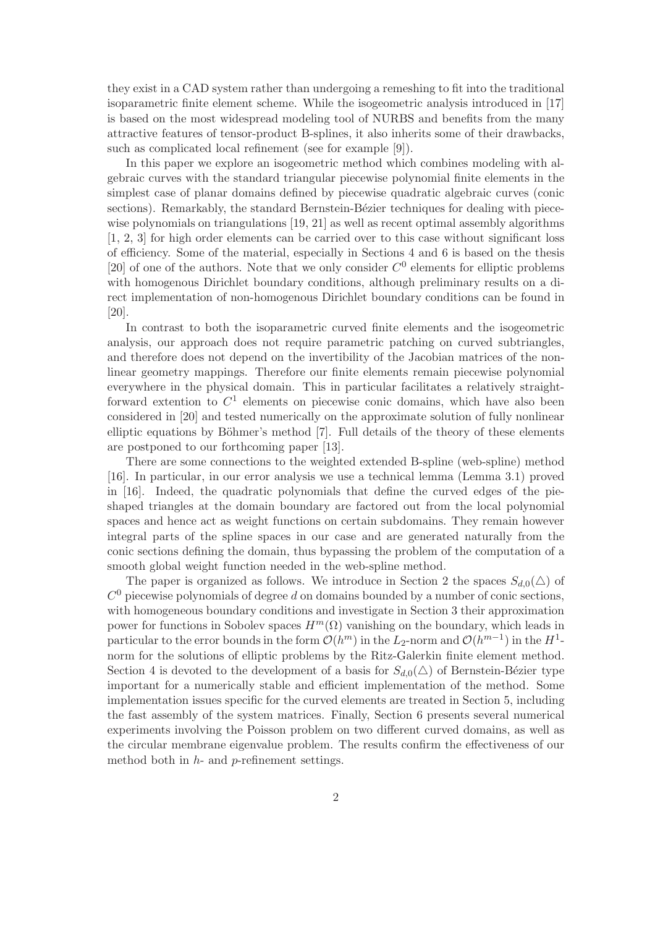they exist in a CAD system rather than undergoing a remeshing to fit into the traditional isoparametric finite element scheme. While the isogeometric analysis introduced in [17] is based on the most widespread modeling tool of NURBS and benefits from the many attractive features of tensor-product B-splines, it also inherits some of their drawbacks, such as complicated local refinement (see for example [9]).

In this paper we explore an isogeometric method which combines modeling with algebraic curves with the standard triangular piecewise polynomial finite elements in the simplest case of planar domains defined by piecewise quadratic algebraic curves (conic sections). Remarkably, the standard Bernstein-Bézier techniques for dealing with piecewise polynomials on triangulations [19, 21] as well as recent optimal assembly algorithms [1, 2, 3] for high order elements can be carried over to this case without significant loss of efficiency. Some of the material, especially in Sections 4 and 6 is based on the thesis [20] of one of the authors. Note that we only consider  $C^0$  elements for elliptic problems with homogenous Dirichlet boundary conditions, although preliminary results on a direct implementation of non-homogenous Dirichlet boundary conditions can be found in [20].

In contrast to both the isoparametric curved finite elements and the isogeometric analysis, our approach does not require parametric patching on curved subtriangles, and therefore does not depend on the invertibility of the Jacobian matrices of the nonlinear geometry mappings. Therefore our finite elements remain piecewise polynomial everywhere in the physical domain. This in particular facilitates a relatively straightforward extention to  $C^1$  elements on piecewise conic domains, which have also been considered in [20] and tested numerically on the approximate solution of fully nonlinear elliptic equations by Böhmer's method  $[7]$ . Full details of the theory of these elements are postponed to our forthcoming paper [13].

There are some connections to the weighted extended B-spline (web-spline) method [16]. In particular, in our error analysis we use a technical lemma (Lemma 3.1) proved in [16]. Indeed, the quadratic polynomials that define the curved edges of the pieshaped triangles at the domain boundary are factored out from the local polynomial spaces and hence act as weight functions on certain subdomains. They remain however integral parts of the spline spaces in our case and are generated naturally from the conic sections defining the domain, thus bypassing the problem of the computation of a smooth global weight function needed in the web-spline method.

The paper is organized as follows. We introduce in Section 2 the spaces  $S_{d,0}(\triangle)$  of  $C<sup>0</sup>$  piecewise polynomials of degree d on domains bounded by a number of conic sections, with homogeneous boundary conditions and investigate in Section 3 their approximation power for functions in Sobolev spaces  $H^m(\Omega)$  vanishing on the boundary, which leads in particular to the error bounds in the form  $\mathcal{O}(h^m)$  in the  $L_2$ -norm and  $\mathcal{O}(h^{m-1})$  in the  $H^1$ norm for the solutions of elliptic problems by the Ritz-Galerkin finite element method. Section 4 is devoted to the development of a basis for  $S_{d,0}(\triangle)$  of Bernstein-Bézier type important for a numerically stable and efficient implementation of the method. Some implementation issues specific for the curved elements are treated in Section 5, including the fast assembly of the system matrices. Finally, Section 6 presents several numerical experiments involving the Poisson problem on two different curved domains, as well as the circular membrane eigenvalue problem. The results confirm the effectiveness of our method both in  $h$ - and  $p$ -refinement settings.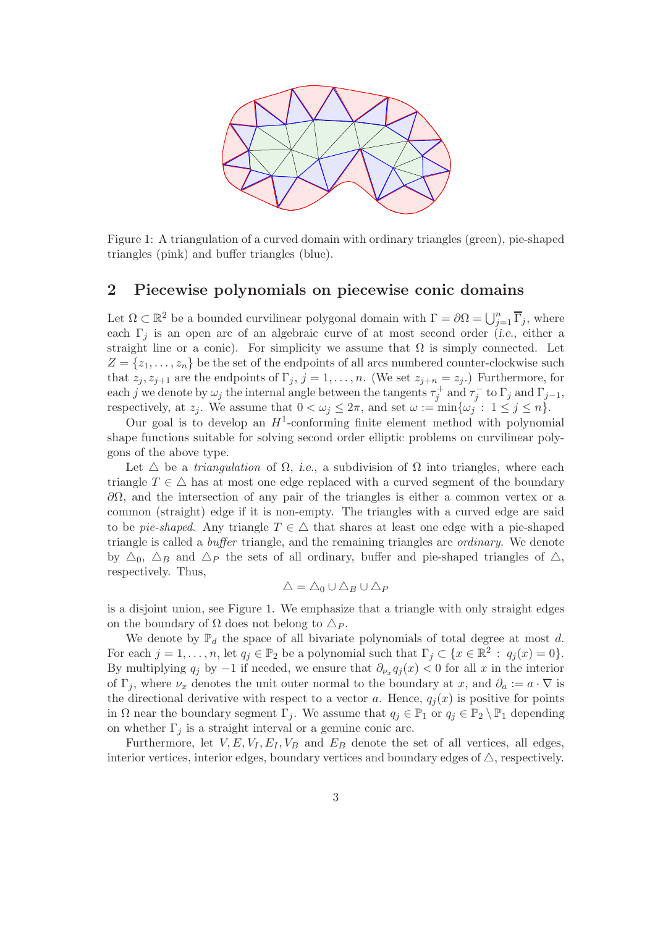

Figure 1: A triangulation of a curved domain with ordinary triangles (green), pie-shaped triangles (pink) and buffer triangles (blue).

# 2 Piecewise polynomials on piecewise conic domains

Let  $\Omega \subset \mathbb{R}^2$  be a bounded curvilinear polygonal domain with  $\Gamma = \partial \Omega = \bigcup_{j=1}^n \overline{\Gamma}_j$ , where each  $\Gamma_i$  is an open arc of an algebraic curve of at most second order (i.e., either a straight line or a conic). For simplicity we assume that  $\Omega$  is simply connected. Let  $Z = \{z_1, \ldots, z_n\}$  be the set of the endpoints of all arcs numbered counter-clockwise such that  $z_j, z_{j+1}$  are the endpoints of  $\Gamma_j, j = 1, \ldots, n$ . (We set  $z_{j+n} = z_j$ .) Furthermore, for each j we denote by  $\omega_j$  the internal angle between the tangents  $\tau_j^+$  and  $\tau_j^-$  to  $\Gamma_j$  and  $\Gamma_{j-1}$ , respectively, at  $z_j$ . We assume that  $0 < \omega_j \leq 2\pi$ , and set  $\omega := \min{\{\omega_j : 1 \leq j \leq n\}}$ .

Our goal is to develop an  $H^1$ -conforming finite element method with polynomial shape functions suitable for solving second order elliptic problems on curvilinear polygons of the above type.

Let  $\triangle$  be a *triangulation* of  $\Omega$ , *i.e.*, a subdivision of  $\Omega$  into triangles, where each triangle  $T \in \Delta$  has at most one edge replaced with a curved segment of the boundary  $\partial Ω$ , and the intersection of any pair of the triangles is either a common vertex or a common (straight) edge if it is non-empty. The triangles with a curved edge are said to be *pie-shaped*. Any triangle  $T \in \Delta$  that shares at least one edge with a pie-shaped triangle is called a buffer triangle, and the remaining triangles are ordinary. We denote by  $\Delta_0$ ,  $\Delta_B$  and  $\Delta_P$  the sets of all ordinary, buffer and pie-shaped triangles of  $\Delta$ , respectively. Thus,

$$
\triangle = \triangle_0 \cup \triangle_B \cup \triangle_P
$$

is a disjoint union, see Figure 1. We emphasize that a triangle with only straight edges on the boundary of  $\Omega$  does not belong to  $\Delta_P$ .

We denote by  $\mathbb{P}_d$  the space of all bivariate polynomials of total degree at most d. For each  $j = 1, ..., n$ , let  $q_j \in \mathbb{P}_2$  be a polynomial such that  $\Gamma_j \subset \{x \in \mathbb{R}^2 : q_j(x) = 0\}.$ By multiplying  $q_j$  by  $-1$  if needed, we ensure that  $\partial_{\nu_x} q_j(x) < 0$  for all x in the interior of  $\Gamma_i$ , where  $\nu_x$  denotes the unit outer normal to the boundary at x, and  $\partial_a := a \cdot \nabla$  is the directional derivative with respect to a vector a. Hence,  $q_i(x)$  is positive for points in  $\Omega$  near the boundary segment  $\Gamma_j$ . We assume that  $q_j \in \mathbb{P}_1$  or  $q_j \in \mathbb{P}_2 \setminus \mathbb{P}_1$  depending on whether  $\Gamma_i$  is a straight interval or a genuine conic arc.

Furthermore, let  $V, E, V_I, E_I, V_B$  and  $E_B$  denote the set of all vertices, all edges, interior vertices, interior edges, boundary vertices and boundary edges of  $\triangle$ , respectively.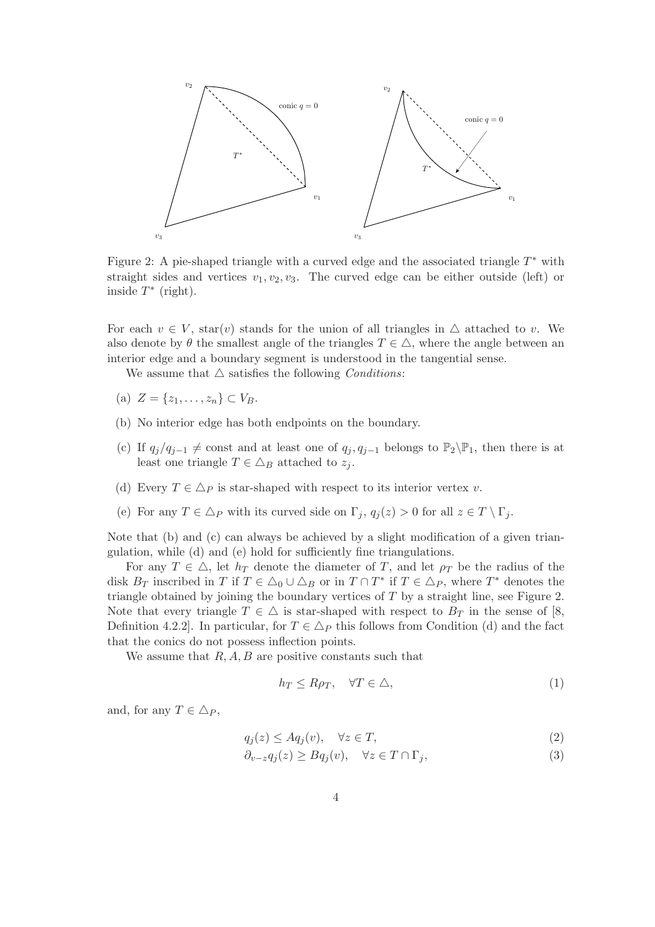

Figure 2: A pie-shaped triangle with a curved edge and the associated triangle  $T^*$  with straight sides and vertices  $v_1, v_2, v_3$ . The curved edge can be either outside (left) or inside  $T^*$  (right).

For each  $v \in V$ , star(v) stands for the union of all triangles in  $\triangle$  attached to v. We also denote by  $\theta$  the smallest angle of the triangles  $T \in \triangle$ , where the angle between an interior edge and a boundary segment is understood in the tangential sense.

We assume that  $\triangle$  satisfies the following *Conditions*:

- (a)  $Z = \{z_1, \ldots, z_n\} \subset V_B$ .
- (b) No interior edge has both endpoints on the boundary.
- (c) If  $q_j/q_{j-1} \neq \text{const}$  and at least one of  $q_j, q_{j-1}$  belongs to  $\mathbb{P}_2\backslash\mathbb{P}_1$ , then there is at least one triangle  $T \in \Delta_B$  attached to  $z_j$ .
- (d) Every  $T \in \Delta_P$  is star-shaped with respect to its interior vertex v.
- (e) For any  $T \in \Delta_P$  with its curved side on  $\Gamma_i$ ,  $q_i(z) > 0$  for all  $z \in T \setminus \Gamma_i$ .

Note that (b) and (c) can always be achieved by a slight modification of a given triangulation, while (d) and (e) hold for sufficiently fine triangulations.

For any  $T \in \Delta$ , let  $h_T$  denote the diameter of T, and let  $\rho_T$  be the radius of the disk  $B_T$  inscribed in T if  $T \in \Delta_0 \cup \Delta_B$  or in  $T \cap T^*$  if  $T \in \Delta_P$ , where  $T^*$  denotes the triangle obtained by joining the boundary vertices of  $T$  by a straight line, see Figure 2. Note that every triangle  $T \in \Delta$  is star-shaped with respect to  $B_T$  in the sense of [8, Definition 4.2.2. In particular, for  $T \in \Delta_P$  this follows from Condition (d) and the fact that the conics do not possess inflection points.

We assume that  $R, A, B$  are positive constants such that

$$
h_T \le R\rho_T, \quad \forall T \in \triangle,
$$
\n<sup>(1)</sup>

and, for any  $T \in \Delta_P$ ,

$$
q_j(z) \le A q_j(v), \quad \forall z \in T,
$$
\n<sup>(2)</sup>

$$
\partial_{v-z} q_j(z) \ge B q_j(v), \quad \forall z \in T \cap \Gamma_j,
$$
\n(3)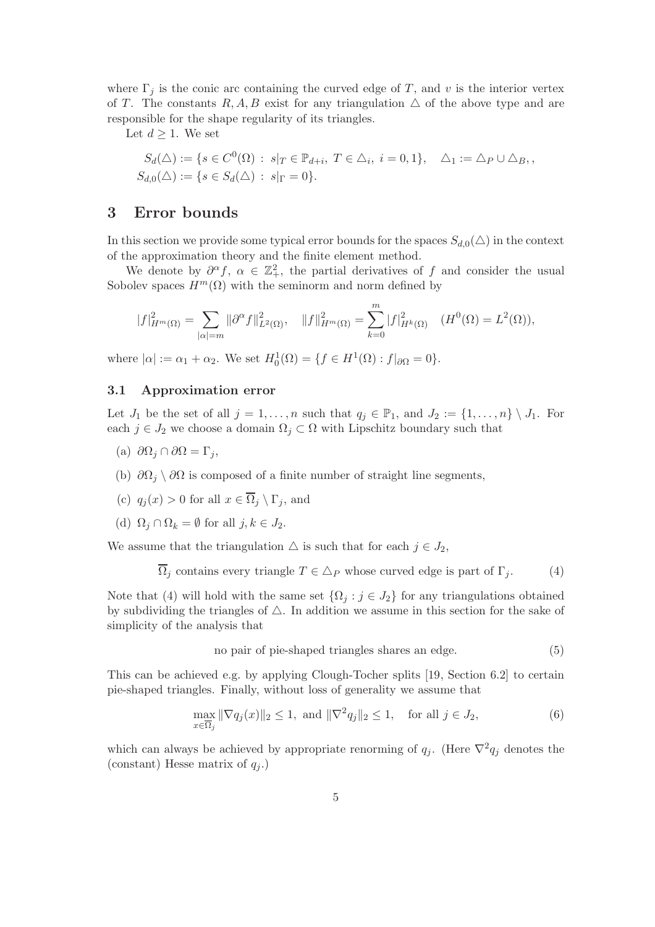where  $\Gamma_i$  is the conic arc containing the curved edge of T, and v is the interior vertex of T. The constants R, A, B exist for any triangulation  $\triangle$  of the above type and are responsible for the shape regularity of its triangles.

Let  $d \geq 1$ . We set

$$
S_d(\Delta) := \{ s \in C^0(\Omega) : s|_T \in \mathbb{P}_{d+i}, T \in \Delta_i, i = 0, 1 \}, \quad \Delta_1 := \Delta_P \cup \Delta_B, ,
$$
  

$$
S_{d,0}(\Delta) := \{ s \in S_d(\Delta) : s|_{\Gamma} = 0 \}.
$$

# 3 Error bounds

In this section we provide some typical error bounds for the spaces  $S_{d,0}(\triangle)$  in the context of the approximation theory and the finite element method.

We denote by  $\partial^{\alpha} f$ ,  $\alpha \in \mathbb{Z}^2_+$ , the partial derivatives of f and consider the usual Sobolev spaces  $H^m(\Omega)$  with the seminorm and norm defined by

$$
|f|_{H^m(\Omega)}^2 = \sum_{|\alpha|=m} ||\partial^{\alpha} f||_{L^2(\Omega)}^2, \quad ||f||_{H^m(\Omega)}^2 = \sum_{k=0}^m |f|_{H^k(\Omega)}^2 \quad (H^0(\Omega) = L^2(\Omega)),
$$

where  $|\alpha| := \alpha_1 + \alpha_2$ . We set  $H_0^1(\Omega) = \{ f \in H^1(\Omega) : f|_{\partial\Omega} = 0 \}.$ 

### 3.1 Approximation error

Let  $J_1$  be the set of all  $j = 1, \ldots, n$  such that  $q_j \in \mathbb{P}_1$ , and  $J_2 := \{1, \ldots, n\} \setminus J_1$ . For each  $j \in J_2$  we choose a domain  $\Omega_j \subset \Omega$  with Lipschitz boundary such that

- (a)  $\partial\Omega_i \cap \partial\Omega = \Gamma_i$ ,
- (b)  $\partial\Omega_i \setminus \partial\Omega$  is composed of a finite number of straight line segments,
- (c)  $q_i(x) > 0$  for all  $x \in \overline{\Omega}_i \setminus \Gamma_i$ , and
- (d)  $\Omega_j \cap \Omega_k = \emptyset$  for all  $j, k \in J_2$ .

We assume that the triangulation  $\triangle$  is such that for each  $j \in J_2$ ,

$$
\Omega_j \text{ contains every triangle } T \in \Delta_P \text{ whose curved edge is part of } \Gamma_j. \tag{4}
$$

Note that (4) will hold with the same set  $\{\Omega_j : j \in J_2\}$  for any triangulations obtained by subdividing the triangles of  $\triangle$ . In addition we assume in this section for the sake of simplicity of the analysis that

no pair of pie-shaped triangles shares an edge. 
$$
(5)
$$

This can be achieved e.g. by applying Clough-Tocher splits [19, Section 6.2] to certain pie-shaped triangles. Finally, without loss of generality we assume that

$$
\max_{x \in \overline{\Omega}_j} \|\nabla q_j(x)\|_2 \le 1, \text{ and } \|\nabla^2 q_j\|_2 \le 1, \text{ for all } j \in J_2,
$$
\n
$$
(6)
$$

which can always be achieved by appropriate renorming of  $q_j$ . (Here  $\nabla^2 q_j$  denotes the (constant) Hesse matrix of  $q_i$ .)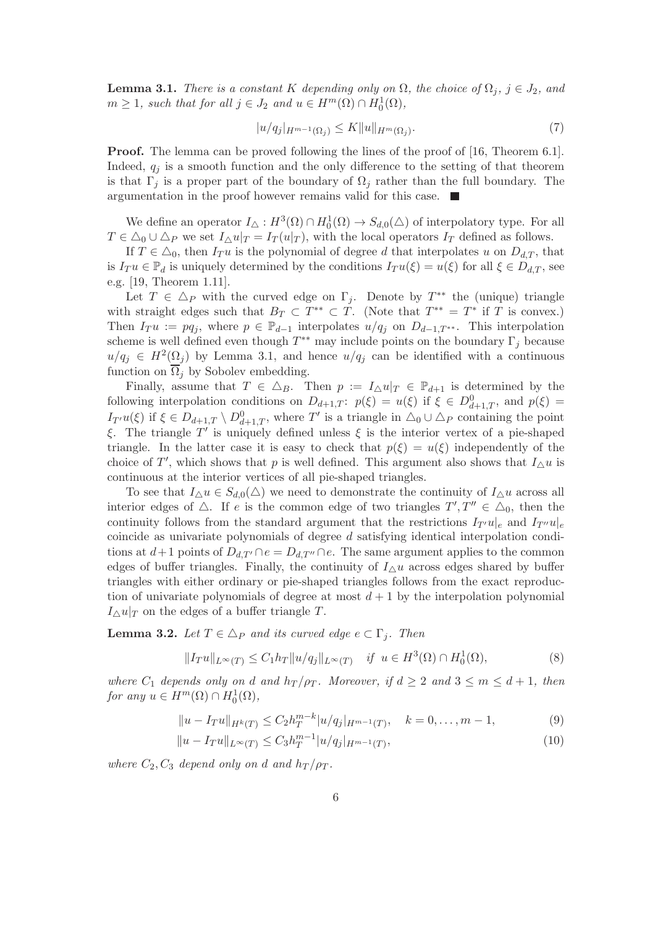**Lemma 3.1.** There is a constant K depending only on  $\Omega$ , the choice of  $\Omega_j$ ,  $j \in J_2$ , and  $m \geq 1$ , such that for all  $j \in J_2$  and  $u \in H^m(\Omega) \cap H_0^1(\Omega)$ ,

$$
|u/q_j|_{H^{m-1}(\Omega_j)} \le K \|u\|_{H^m(\Omega_j)}.\tag{7}
$$

Proof. The lemma can be proved following the lines of the proof of [16, Theorem 6.1]. Indeed,  $q_i$  is a smooth function and the only difference to the setting of that theorem is that  $\Gamma_i$  is a proper part of the boundary of  $\Omega_i$  rather than the full boundary. The argumentation in the proof however remains valid for this case.  $\blacksquare$ 

We define an operator  $I_{\Delta}: H^3(\Omega) \cap H_0^1(\Omega) \to S_{d,0}(\Delta)$  of interpolatory type. For all  $T \in \Delta_0 \cup \Delta_P$  we set  $I_\Delta u|_T = I_T(u|_T)$ , with the local operators  $I_T$  defined as follows.

If  $T \in \Delta_0$ , then  $I_T u$  is the polynomial of degree d that interpolates u on  $D_{d,T}$ , that is  $I_T u \in \mathbb{P}_d$  is uniquely determined by the conditions  $I_T u(\xi) = u(\xi)$  for all  $\xi \in D_{d,T}$ , see e.g. [19, Theorem 1.11].

Let  $T \in \Delta_P$  with the curved edge on  $\Gamma_j$ . Denote by  $T^{**}$  the (unique) triangle with straight edges such that  $B_T \subset T^{**} \subset T$ . (Note that  $T^{**} = T^*$  if T is convex.) Then  $I_T u := pq_j$ , where  $p \in \mathbb{P}_{d-1}$  interpolates  $u/q_j$  on  $D_{d-1,T^{**}}$ . This interpolation scheme is well defined even though  $T^{**}$  may include points on the boundary  $\Gamma_j$  because  $u/q_j \in H^2(\Omega_j)$  by Lemma 3.1, and hence  $u/q_j$  can be identified with a continuous function on  $\overline{\Omega}_i$  by Sobolev embedding.

Finally, assume that  $T \in \Delta_B$ . Then  $p := I_\Delta u|_T \in \mathbb{P}_{d+1}$  is determined by the following interpolation conditions on  $D_{d+1,T}$ :  $p(\xi) = u(\xi)$  if  $\xi \in D^0_{d+1,T}$ , and  $p(\xi) =$  $I_{T'}u(\xi)$  if  $\xi \in D_{d+1,T} \setminus D^0_{d+1,T}$ , where T' is a triangle in  $\Delta_0 \cup \Delta_P$  containing the point ξ. The triangle T' is uniquely defined unless  $\xi$  is the interior vertex of a pie-shaped triangle. In the latter case it is easy to check that  $p(\xi) = u(\xi)$  independently of the choice of T', which shows that p is well defined. This argument also shows that  $I_{\Delta}u$  is continuous at the interior vertices of all pie-shaped triangles.

To see that  $I_{\Delta}u \in S_{d,0}(\Delta)$  we need to demonstrate the continuity of  $I_{\Delta}u$  across all interior edges of  $\triangle$ . If e is the common edge of two triangles  $T', T'' \in \triangle_0$ , then the continuity follows from the standard argument that the restrictions  $I_{T'}u|_{e}$  and  $I_{T''}u|_{e}$ coincide as univariate polynomials of degree  $d$  satisfying identical interpolation conditions at  $d+1$  points of  $D_{d,T'} \cap e = D_{d,T''} \cap e$ . The same argument applies to the common edges of buffer triangles. Finally, the continuity of  $I_{\Delta}u$  across edges shared by buffer triangles with either ordinary or pie-shaped triangles follows from the exact reproduction of univariate polynomials of degree at most  $d+1$  by the interpolation polynomial  $I_\wedge u|_T$  on the edges of a buffer triangle T.

**Lemma 3.2.** Let  $T \in \Delta_P$  and its curved edge  $e \subset \Gamma_i$ . Then

$$
||I_T u||_{L^{\infty}(T)} \le C_1 h_T ||u/q_j||_{L^{\infty}(T)} \quad \text{if} \ \ u \in H^3(\Omega) \cap H_0^1(\Omega), \tag{8}
$$

where  $C_1$  depends only on d and  $h_T/\rho_T$ . Moreover, if  $d \geq 2$  and  $3 \leq m \leq d+1$ , then for any  $u \in H^m(\Omega) \cap H_0^1(\Omega)$ ,

$$
||u - I_T u||_{H^k(T)} \le C_2 h_T^{m-k} |u/q_j|_{H^{m-1}(T)}, \quad k = 0, \dots, m-1,
$$
\n(9)

$$
||u - I_T u||_{L^{\infty}(T)} \leq C_3 h_T^{m-1} |u/q_j|_{H^{m-1}(T)},
$$
\n(10)

where  $C_2, C_3$  depend only on d and  $h_T/\rho_T$ .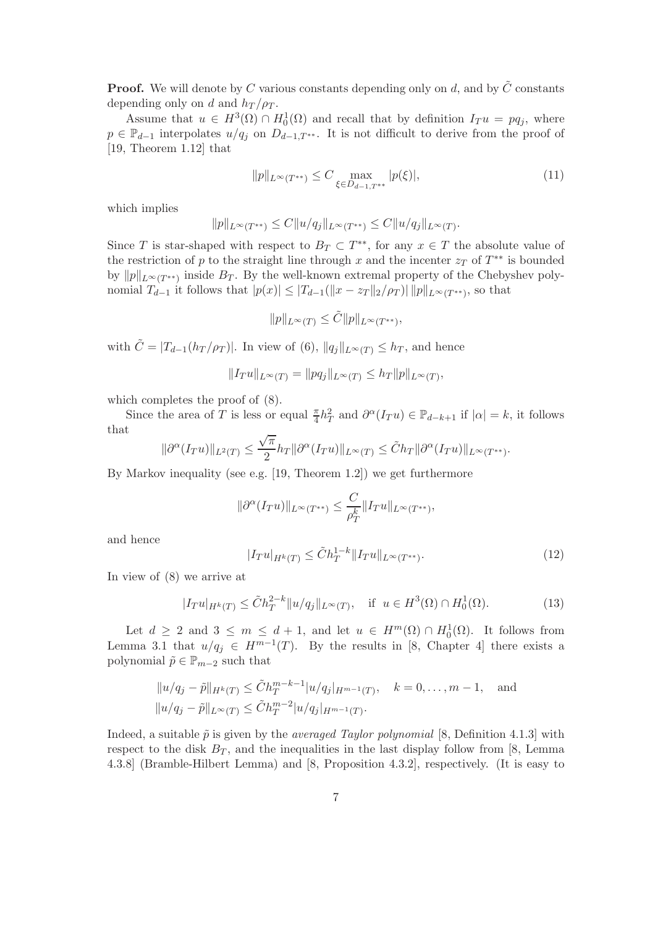**Proof.** We will denote by C various constants depending only on d, and by  $\tilde{C}$  constants depending only on d and  $h_T/\rho_T$ .

Assume that  $u \in H^3(\Omega) \cap H_0^1(\Omega)$  and recall that by definition  $I_T u = pq_j$ , where  $p \in \mathbb{P}_{d-1}$  interpolates  $u/q_j$  on  $D_{d-1,T^{**}}$ . It is not difficult to derive from the proof of [19, Theorem 1.12] that

$$
||p||_{L^{\infty}(T^{**})} \leq C \max_{\xi \in D_{d-1,T^{**}}} |p(\xi)|,
$$
\n(11)

which implies

$$
||p||_{L^{\infty}(T^{**})} \leq C||u/q_j||_{L^{\infty}(T^{**})} \leq C||u/q_j||_{L^{\infty}(T)}.
$$

Since T is star-shaped with respect to  $B_T \subset T^{**}$ , for any  $x \in T$  the absolute value of the restriction of p to the straight line through x and the incenter  $z_T$  of  $T^{**}$  is bounded by  $||p||_{L^{\infty}(T^{**})}$  inside  $B_T$ . By the well-known extremal property of the Chebyshev polynomial  $T_{d-1}$  it follows that  $|p(x)| \leq |T_{d-1}(\|x - z_T\|_2/\rho_T)$   $\|p\|_{L^{\infty}(T^{**})}$ , so that

$$
||p||_{L^{\infty}(T)} \leq \tilde{C}||p||_{L^{\infty}(T^{**})},
$$

with  $\tilde{C} = |T_{d-1}(h_T/\rho_T)|$ . In view of (6),  $||q_j||_{L^{\infty}(T)} \leq h_T$ , and hence

$$
||I_T u||_{L^{\infty}(T)} = ||pq_j||_{L^{\infty}(T)} \le h_T ||p||_{L^{\infty}(T)},
$$

which completes the proof of (8).

Since the area of T is less or equal  $\frac{\pi}{4}h_T^2$  and  $\partial^{\alpha}(I_T u) \in \mathbb{P}_{d-k+1}$  if  $|\alpha| = k$ , it follows that

$$
\|\partial^\alpha(I_T u)\|_{L^2(T)}\leq \frac{\sqrt{\pi}}{2} h_T\|\partial^\alpha(I_T u)\|_{L^\infty(T)}\leq \tilde Ch_T\|\partial^\alpha(I_T u)\|_{L^\infty(T^{**})}.
$$

By Markov inequality (see e.g. [19, Theorem 1.2]) we get furthermore

$$
\|\partial^\alpha(I_T u)\|_{L^\infty(T^{**})}\leq \frac{C}{\rho_T^k}\|I_T u\|_{L^\infty(T^{**})},
$$

and hence

$$
|I_T u|_{H^k(T)} \le \tilde{C} h_T^{1-k} \|I_T u\|_{L^\infty(T^{**})}.
$$
\n(12)

In view of (8) we arrive at

$$
|I_T u|_{H^k(T)} \le \tilde{C} h_T^{2-k} \|u/q_j\|_{L^\infty(T)}, \quad \text{if } u \in H^3(\Omega) \cap H_0^1(\Omega). \tag{13}
$$

Let  $d \geq 2$  and  $3 \leq m \leq d+1$ , and let  $u \in H^m(\Omega) \cap H_0^1(\Omega)$ . It follows from Lemma 3.1 that  $u/q_j \in H^{m-1}(T)$ . By the results in [8, Chapter 4] there exists a polynomial  $\tilde{p} \in \mathbb{P}_{m-2}$  such that

$$
||u/q_j - \tilde{p}||_{H^k(T)} \leq \tilde{C}h_T^{m-k-1}|u/q_j|_{H^{m-1}(T)}, \quad k = 0, ..., m-1, \text{ and}
$$
  

$$
||u/q_j - \tilde{p}||_{L^{\infty}(T)} \leq \tilde{C}h_T^{m-2}|u/q_j|_{H^{m-1}(T)}.
$$

Indeed, a suitable  $\tilde{p}$  is given by the *averaged Taylor polynomial* [8, Definition 4.1.3] with respect to the disk  $B_T$ , and the inequalities in the last display follow from [8, Lemma 4.3.8] (Bramble-Hilbert Lemma) and [8, Proposition 4.3.2], respectively. (It is easy to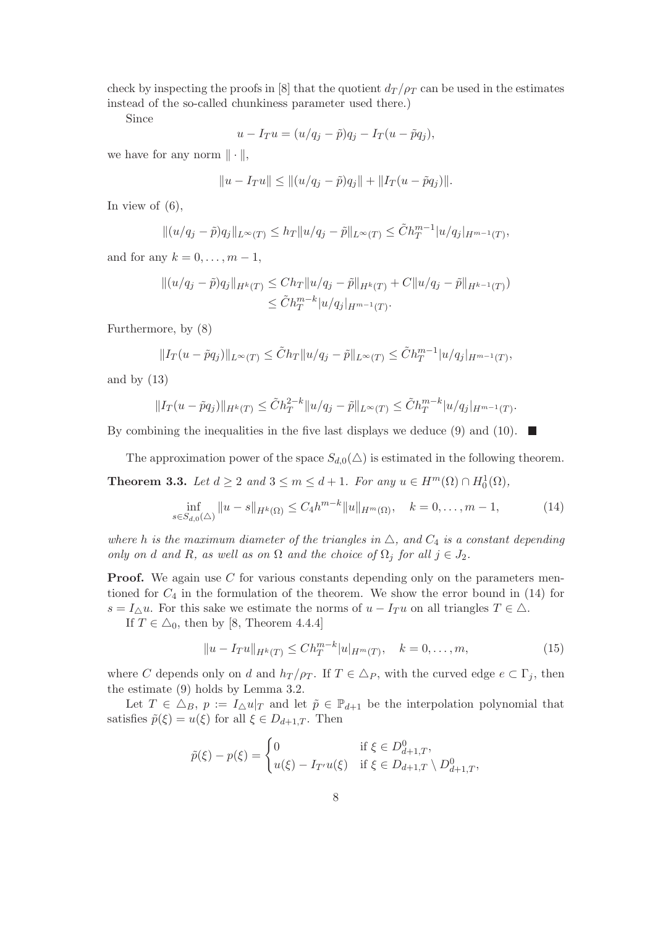check by inspecting the proofs in [8] that the quotient  $d_T/\rho_T$  can be used in the estimates instead of the so-called chunkiness parameter used there.)

Since

$$
u - I_T u = (u/q_j - \tilde{p})q_j - I_T(u - \tilde{p}q_j),
$$

we have for any norm  $\|\cdot\|$ ,

$$
||u - I_T u|| \le ||(u/q_j - \tilde{p})q_j|| + ||I_T(u - \tilde{p}q_j)||.
$$

In view of  $(6)$ ,

$$
||(u/q_j - \tilde{p})q_j||_{L^{\infty}(T)} \le h_T ||u/q_j - \tilde{p}||_{L^{\infty}(T)} \le \tilde{C}h_T^{m-1}|u/q_j|_{H^{m-1}(T)},
$$

and for any  $k = 0, \ldots, m - 1$ ,

$$
||(u/q_j - \tilde{p})q_j||_{H^k(T)} \le Ch_T ||u/q_j - \tilde{p}||_{H^k(T)} + C ||u/q_j - \tilde{p}||_{H^{k-1}(T)}
$$
  

$$
\le \tilde{C} h_T^{m-k} |u/q_j|_{H^{m-1}(T)}.
$$

Furthermore, by (8)

$$
||I_T(u - \tilde{p}q_j)||_{L^{\infty}(T)} \leq \tilde{C}h_T ||u/q_j - \tilde{p}||_{L^{\infty}(T)} \leq \tilde{C}h_T^{m-1} |u/q_j|_{H^{m-1}(T)},
$$

and by  $(13)$ 

$$
||I_T(u - \tilde{p}q_j)||_{H^k(T)} \leq \tilde{C}h_T^{2-k}||u/q_j - \tilde{p}||_{L^{\infty}(T)} \leq \tilde{C}h_T^{m-k}|u/q_j|_{H^{m-1}(T)}.
$$

By combining the inequalities in the five last displays we deduce (9) and (10).  $\blacksquare$ 

The approximation power of the space  $S_{d,0}(\triangle)$  is estimated in the following theorem.

**Theorem 3.3.** Let  $d \geq 2$  and  $3 \leq m \leq d+1$ . For any  $u \in H^m(\Omega) \cap H_0^1(\Omega)$ ,

$$
\inf_{s \in S_{d,0}(\Delta)} \|u - s\|_{H^k(\Omega)} \le C_4 h^{m-k} \|u\|_{H^m(\Omega)}, \quad k = 0, \dots, m-1,
$$
 (14)

where h is the maximum diameter of the triangles in  $\triangle$ , and  $C_4$  is a constant depending only on d and R, as well as on  $\Omega$  and the choice of  $\Omega_j$  for all  $j \in J_2$ .

**Proof.** We again use  $C$  for various constants depending only on the parameters mentioned for  $C_4$  in the formulation of the theorem. We show the error bound in (14) for  $s = I_{\Delta}u$ . For this sake we estimate the norms of  $u - I_T u$  on all triangles  $T \in \Delta$ .

If  $T \in \triangle_0$ , then by [8, Theorem 4.4.4]

$$
||u - I_T u||_{H^k(T)} \le Ch_T^{m-k} |u|_{H^m(T)}, \quad k = 0, \dots, m,
$$
\n(15)

where C depends only on d and  $h_T/\rho_T$ . If  $T \in \Delta_P$ , with the curved edge  $e \subset \Gamma_i$ , then the estimate (9) holds by Lemma 3.2.

Let  $T \in \Delta_B$ ,  $p := I_\Delta u|_T$  and let  $\tilde{p} \in \mathbb{P}_{d+1}$  be the interpolation polynomial that satisfies  $\tilde{p}(\xi) = u(\xi)$  for all  $\xi \in D_{d+1,T}$ . Then

$$
\tilde{p}(\xi) - p(\xi) = \begin{cases}\n0 & \text{if } \xi \in D_{d+1,T}^0, \\
u(\xi) - I_{T'}u(\xi) & \text{if } \xi \in D_{d+1,T} \setminus D_{d+1,T}^0,\n\end{cases}
$$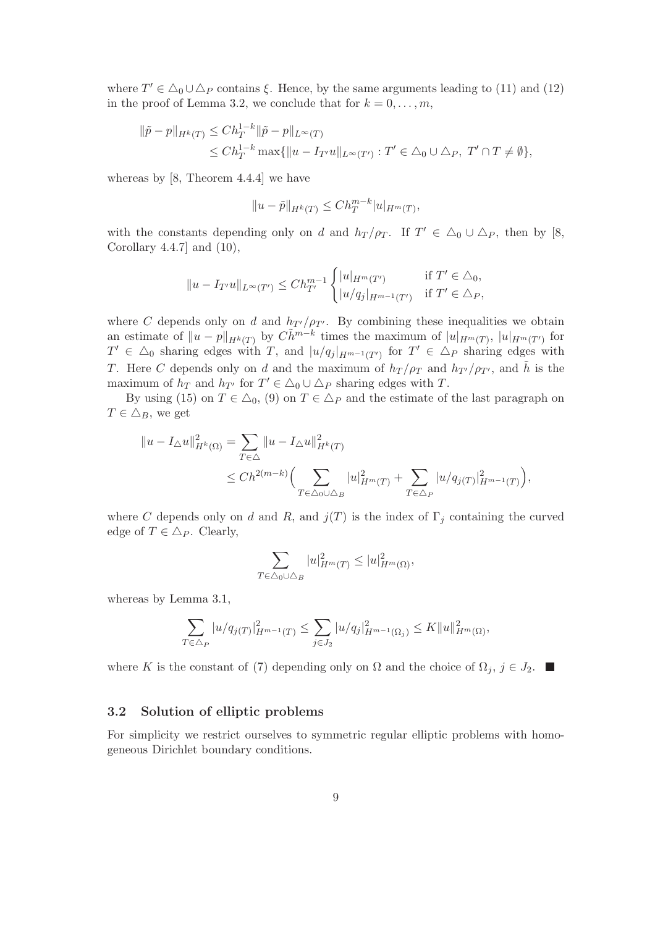where  $T' \in \Delta_0 \cup \Delta_P$  contains  $\xi$ . Hence, by the same arguments leading to (11) and (12) in the proof of Lemma 3.2, we conclude that for  $k = 0, \ldots, m$ ,

$$
\|\tilde{p} - p\|_{H^k(T)} \le C h_T^{1-k} \|\tilde{p} - p\|_{L^\infty(T)}
$$
  
\n
$$
\le C h_T^{1-k} \max\{\|u - I_{T'}u\|_{L^\infty(T')} : T' \in \Delta_0 \cup \Delta_P, T' \cap T \ne \emptyset\},\
$$

whereas by [8, Theorem 4.4.4] we have

$$
||u - \tilde{p}||_{H^k(T)} \le Ch_T^{m-k} |u|_{H^m(T)},
$$

with the constants depending only on d and  $h_T/\rho_T$ . If  $T' \in \Delta_0 \cup \Delta_P$ , then by [8, Corollary  $4.4.7$ ] and  $(10)$ ,

$$
||u - I_{T'}u||_{L^{\infty}(T')} \le Ch_{T'}^{m-1} \begin{cases} |u|_{H^m(T')} & \text{if } T' \in \Delta_0, \\ |u/q_j|_{H^{m-1}(T')} & \text{if } T' \in \Delta_P, \end{cases}
$$

where C depends only on d and  $h_{T'}/\rho_{T'}$ . By combining these inequalities we obtain an estimate of  $||u-p||_{H^k(T)}$  by  $C\tilde{h}^{m-k}$  times the maximum of  $|u|_{H^m(T)}$ ,  $|u|_{H^m(T')}$  for  $T' \in \Delta_0$  sharing edges with T, and  $|u/q_j|_{H^{m-1}(T')}$  for  $T' \in \Delta_P$  sharing edges with T. Here C depends only on d and the maximum of  $h_T/\rho_T$  and  $h_{T'}/\rho_{T'}$ , and  $\tilde{h}$  is the maximum of  $h_T$  and  $h_{T'}$  for  $T' \in \Delta_0 \cup \Delta_P$  sharing edges with T.

By using (15) on  $T \in \Delta_0$ , (9) on  $T \in \Delta_P$  and the estimate of the last paragraph on  $T \in \triangle_B$ , we get

$$
||u - I_{\triangle}u||_{H^k(\Omega)}^2 = \sum_{T \in \triangle} ||u - I_{\triangle}u||_{H^k(T)}^2
$$
  

$$
\leq Ch^{2(m-k)} \Big( \sum_{T \in \triangle_0 \cup \triangle_B} |u|_{H^m(T)}^2 + \sum_{T \in \triangle_P} |u/q_{j(T)}|_{H^{m-1}(T)}^2 \Big),
$$

where C depends only on d and R, and  $j(T)$  is the index of  $\Gamma_j$  containing the curved edge of  $T \in \Delta_P$ . Clearly,

$$
\sum_{T \in \triangle_0 \cup \triangle_B} |u|_{H^m(T)}^2 \le |u|_{H^m(\Omega)}^2,
$$

whereas by Lemma 3.1,

$$
\sum_{T \in \Delta_P} |u/q_{j(T)}|_{H^{m-1}(T)}^2 \leq \sum_{j \in J_2} |u/q_j|_{H^{m-1}(\Omega_j)}^2 \leq K \|u\|_{H^m(\Omega)}^2,
$$

where K is the constant of (7) depending only on  $\Omega$  and the choice of  $\Omega_j$ ,  $j \in J_2$ .

#### 3.2 Solution of elliptic problems

For simplicity we restrict ourselves to symmetric regular elliptic problems with homogeneous Dirichlet boundary conditions.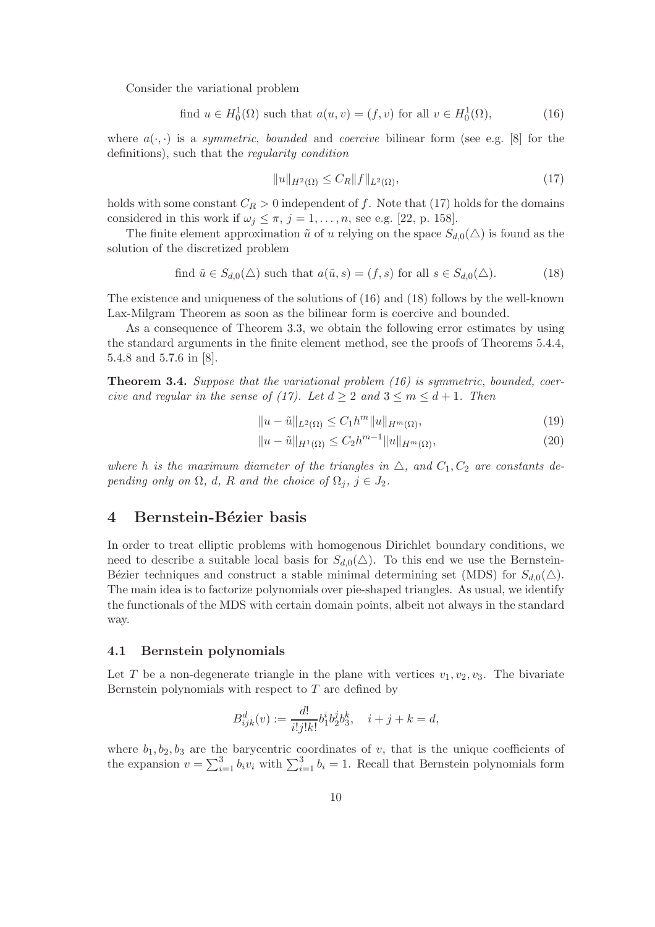Consider the variational problem

find 
$$
u \in H_0^1(\Omega)
$$
 such that  $a(u, v) = (f, v)$  for all  $v \in H_0^1(\Omega)$ ,  $(16)$ 

where  $a(\cdot, \cdot)$  is a *symmetric, bounded* and *coercive* bilinear form (see e.g. [8] for the definitions), such that the regularity condition

$$
||u||_{H^{2}(\Omega)} \leq C_{R}||f||_{L^{2}(\Omega)},
$$
\n(17)

holds with some constant  $C_R > 0$  independent of f. Note that (17) holds for the domains considered in this work if  $\omega_j \leq \pi$ ,  $j = 1, \ldots, n$ , see e.g. [22, p. 158].

The finite element approximation  $\tilde{u}$  of u relying on the space  $S_{d,0}(\triangle)$  is found as the solution of the discretized problem

find 
$$
\tilde{u} \in S_{d,0}(\triangle)
$$
 such that  $a(\tilde{u}, s) = (f, s)$  for all  $s \in S_{d,0}(\triangle)$ . (18)

The existence and uniqueness of the solutions of (16) and (18) follows by the well-known Lax-Milgram Theorem as soon as the bilinear form is coercive and bounded.

As a consequence of Theorem 3.3, we obtain the following error estimates by using the standard arguments in the finite element method, see the proofs of Theorems 5.4.4, 5.4.8 and 5.7.6 in [8].

**Theorem 3.4.** Suppose that the variational problem  $(16)$  is symmetric, bounded, coercive and regular in the sense of (17). Let  $d \geq 2$  and  $3 \leq m \leq d+1$ . Then

$$
||u - \tilde{u}||_{L^{2}(\Omega)} \le C_1 h^{m} ||u||_{H^{m}(\Omega)},
$$
\n(19)

$$
||u - \tilde{u}||_{H^1(\Omega)} \le C_2 h^{m-1} ||u||_{H^m(\Omega)},
$$
\n(20)

where h is the maximum diameter of the triangles in  $\triangle$ , and  $C_1, C_2$  are constants depending only on  $\Omega$ , d, R and the choice of  $\Omega_i$ ,  $j \in J_2$ .

# 4 Bernstein-Bézier basis

In order to treat elliptic problems with homogenous Dirichlet boundary conditions, we need to describe a suitable local basis for  $S_{d,0}(\triangle)$ . To this end we use the Bernstein-Bézier techniques and construct a stable minimal determining set (MDS) for  $S_{d,0}(\triangle)$ . The main idea is to factorize polynomials over pie-shaped triangles. As usual, we identify the functionals of the MDS with certain domain points, albeit not always in the standard way.

#### 4.1 Bernstein polynomials

Let T be a non-degenerate triangle in the plane with vertices  $v_1, v_2, v_3$ . The bivariate Bernstein polynomials with respect to  $T$  are defined by

$$
B_{ijk}^d(v) := \frac{d!}{i!j!k!}b_1^ib_2^jb_3^k, \quad i+j+k=d,
$$

where  $b_1, b_2, b_3$  are the barycentric coordinates of v, that is the unique coefficients of the expansion  $v = \sum_{i=1}^{3} b_i v_i$  with  $\sum_{i=1}^{3} b_i = 1$ . Recall that Bernstein polynomials form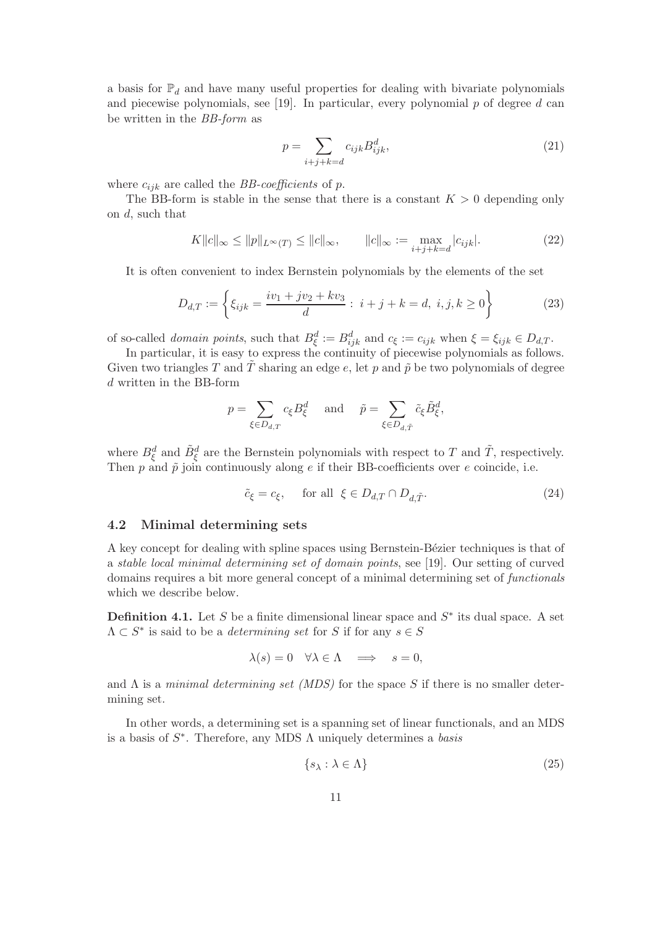a basis for  $\mathbb{P}_d$  and have many useful properties for dealing with bivariate polynomials and piecewise polynomials, see [19]. In particular, every polynomial  $p$  of degree  $d$  can be written in the BB-form as

$$
p = \sum_{i+j+k=d} c_{ijk} B_{ijk}^d,
$$
\n(21)

where  $c_{ijk}$  are called the *BB-coefficients* of p.

The BB-form is stable in the sense that there is a constant  $K > 0$  depending only on d, such that

$$
K||c||_{\infty} \le ||p||_{L^{\infty}(T)} \le ||c||_{\infty}, \qquad ||c||_{\infty} := \max_{i+j+k=d} |c_{ijk}|.
$$
 (22)

It is often convenient to index Bernstein polynomials by the elements of the set

$$
D_{d,T} := \left\{ \xi_{ijk} = \frac{iv_1 + jv_2 + kv_3}{d} : i + j + k = d, i, j, k \ge 0 \right\}
$$
 (23)

of so-called *domain points*, such that  $B_{\xi}^d := B_{ijk}^d$  and  $c_{\xi} := c_{ijk}$  when  $\xi = \xi_{ijk} \in D_{d,T}$ .

In particular, it is easy to express the continuity of piecewise polynomials as follows. Given two triangles T and T sharing an edge e, let p and  $\tilde{p}$  be two polynomials of degree d written in the BB-form

$$
p=\sum_{\xi\in D_{d,T}}c_{\xi}B_{\xi}^d\quad\text{ and }\quad \tilde{p}=\sum_{\xi\in D_{d,\tilde{T}}}\tilde{c}_{\xi}\tilde{B}_{\xi}^d,
$$

where  $B_{\xi}^{d}$  and  $\tilde{B}_{\xi}^{d}$  are the Bernstein polynomials with respect to T and  $\tilde{T}$ , respectively. Then  $p$  and  $\tilde{p}$  join continuously along  $e$  if their BB-coefficients over  $e$  coincide, i.e.

$$
\tilde{c}_{\xi} = c_{\xi}, \quad \text{for all } \xi \in D_{d,T} \cap D_{d,\tilde{T}}.\tag{24}
$$

#### 4.2 Minimal determining sets

A key concept for dealing with spline spaces using Bernstein-Bézier techniques is that of a stable local minimal determining set of domain points, see [19]. Our setting of curved domains requires a bit more general concept of a minimal determining set of functionals which we describe below.

**Definition 4.1.** Let S be a finite dimensional linear space and  $S^*$  its dual space. A set  $\Lambda \subset S^*$  is said to be a *determining set* for S if for any  $s \in S$ 

$$
\lambda(s) = 0 \quad \forall \lambda \in \Lambda \quad \Longrightarrow \quad s = 0,
$$

and  $\Lambda$  is a minimal determining set (MDS) for the space S if there is no smaller determining set.

In other words, a determining set is a spanning set of linear functionals, and an MDS is a basis of  $S^*$ . Therefore, any MDS  $\Lambda$  uniquely determines a basis

$$
\{s_{\lambda} : \lambda \in \Lambda\} \tag{25}
$$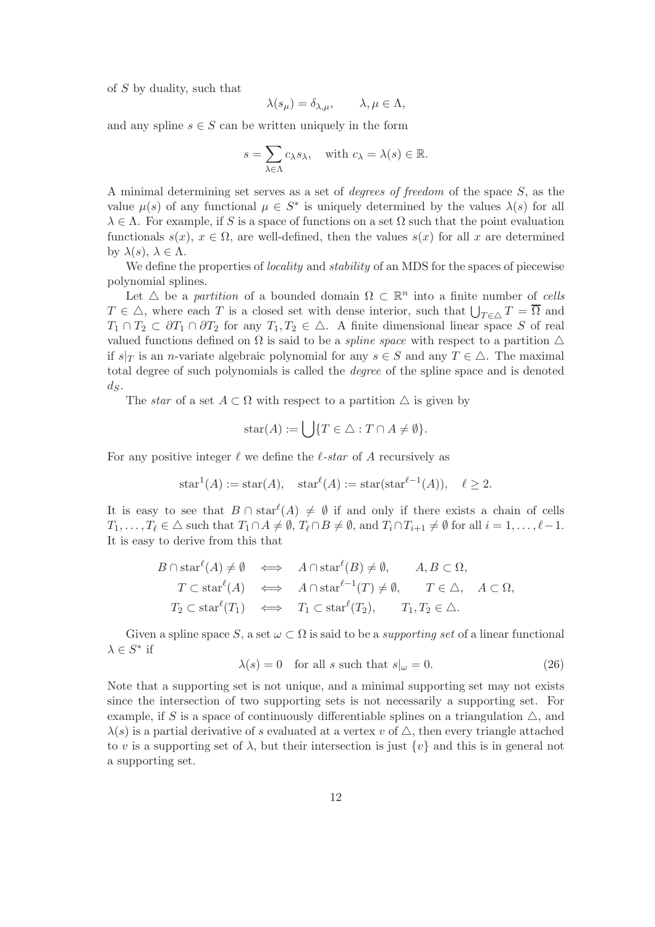of S by duality, such that

$$
\lambda(s_{\mu}) = \delta_{\lambda,\mu}, \qquad \lambda, \mu \in \Lambda,
$$

and any spline  $s \in S$  can be written uniquely in the form

$$
s = \sum_{\lambda \in \Lambda} c_{\lambda} s_{\lambda}, \quad \text{with } c_{\lambda} = \lambda(s) \in \mathbb{R}.
$$

A minimal determining set serves as a set of degrees of freedom of the space S, as the value  $\mu(s)$  of any functional  $\mu \in S^*$  is uniquely determined by the values  $\lambda(s)$  for all  $\lambda \in \Lambda$ . For example, if S is a space of functions on a set  $\Omega$  such that the point evaluation functionals  $s(x)$ ,  $x \in \Omega$ , are well-defined, then the values  $s(x)$  for all x are determined by  $\lambda(s)$ ,  $\lambda \in \Lambda$ .

We define the properties of *locality* and *stability* of an MDS for the spaces of piecewise polynomial splines.

Let  $\triangle$  be a partition of a bounded domain  $\Omega \subset \mathbb{R}^n$  into a finite number of cells  $T \in \Delta$ , where each T is a closed set with dense interior, such that  $\bigcup_{T \in \Delta} T = \overline{\Omega}$  and  $T_1 \cap T_2 \subset \partial T_1 \cap \partial T_2$  for any  $T_1, T_2 \in \Delta$ . A finite dimensional linear space S of real valued functions defined on  $\Omega$  is said to be a *spline space* with respect to a partition  $\Delta$ if  $s|_T$  is an *n*-variate algebraic polynomial for any  $s \in S$  and any  $T \in \Delta$ . The maximal total degree of such polynomials is called the degree of the spline space and is denoted  $d_S$ .

The star of a set  $A \subset \Omega$  with respect to a partition  $\triangle$  is given by

$$
star(A) := \bigcup \{ T \in \triangle : T \cap A \neq \emptyset \}.
$$

For any positive integer  $\ell$  we define the  $\ell$ -star of A recursively as

$$
\text{star}^1(A) := \text{star}(A), \quad \text{star}^{\ell}(A) := \text{star}(\text{star}^{\ell-1}(A)), \quad \ell \ge 2.
$$

It is easy to see that  $B \cap \text{star}^{\ell}(A) \neq \emptyset$  if and only if there exists a chain of cells  $T_1, \ldots, T_\ell \in \triangle$  such that  $T_1 \cap A \neq \emptyset$ ,  $T_\ell \cap B \neq \emptyset$ , and  $T_i \cap T_{i+1} \neq \emptyset$  for all  $i = 1, \ldots, \ell-1$ . It is easy to derive from this that

$$
B \cap \operatorname{star}^{\ell}(A) \neq \emptyset \iff A \cap \operatorname{star}^{\ell}(B) \neq \emptyset, \qquad A, B \subset \Omega,
$$
  
\n
$$
T \subset \operatorname{star}^{\ell}(A) \iff A \cap \operatorname{star}^{\ell-1}(T) \neq \emptyset, \qquad T \in \triangle, \quad A \subset \Omega,
$$
  
\n
$$
T_2 \subset \operatorname{star}^{\ell}(T_1) \iff T_1 \subset \operatorname{star}^{\ell}(T_2), \qquad T_1, T_2 \in \triangle.
$$

Given a spline space S, a set  $\omega \subset \Omega$  is said to be a *supporting set* of a linear functional  $\lambda \in S^*$  if

$$
\lambda(s) = 0 \quad \text{for all } s \text{ such that } s|_{\omega} = 0. \tag{26}
$$

Note that a supporting set is not unique, and a minimal supporting set may not exists since the intersection of two supporting sets is not necessarily a supporting set. For example, if S is a space of continuously differentiable splines on a triangulation  $\triangle$ , and  $\lambda(s)$  is a partial derivative of s evaluated at a vertex v of  $\triangle$ , then every triangle attached to v is a supporting set of  $\lambda$ , but their intersection is just  $\{v\}$  and this is in general not a supporting set.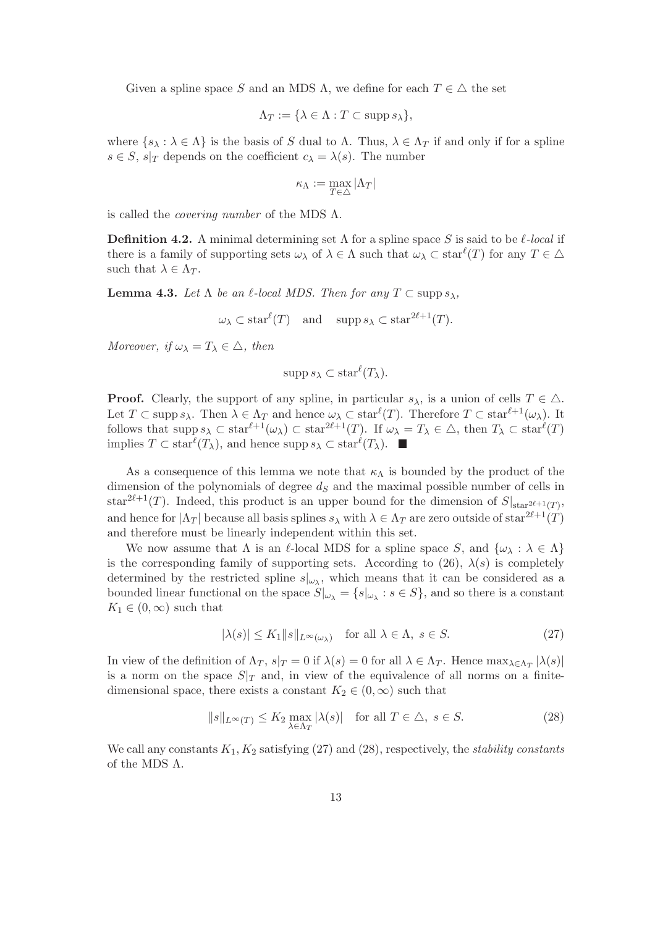Given a spline space S and an MDS  $\Lambda$ , we define for each  $T \in \Delta$  the set

$$
\Lambda_T := \{ \lambda \in \Lambda : T \subset \operatorname{supp} s_{\lambda} \},
$$

where  $\{s_\lambda : \lambda \in \Lambda\}$  is the basis of S dual to  $\Lambda$ . Thus,  $\lambda \in \Lambda_T$  if and only if for a spline  $s \in S$ ,  $s|_T$  depends on the coefficient  $c_{\lambda} = \lambda(s)$ . The number

$$
\kappa_\Lambda:=\max_{T\in\triangle}|\Lambda_T|
$$

is called the *covering number* of the MDS  $\Lambda$ .

**Definition 4.2.** A minimal determining set  $\Lambda$  for a spline space S is said to be  $\ell$ -local if there is a family of supporting sets  $\omega_\lambda$  of  $\lambda \in \Lambda$  such that  $\omega_\lambda \subset \text{star}^{\ell}(T)$  for any  $T \in \Delta$ such that  $\lambda \in \Lambda_T$ .

**Lemma 4.3.** Let  $\Lambda$  be an  $\ell$ -local MDS. Then for any  $T \subset \text{supp } s_\lambda$ ,

 $\omega_{\lambda} \subset \text{star}^{\ell}(T)$  and  $\text{supp } s_{\lambda} \subset \text{star}^{2\ell+1}(T)$ .

Moreover, if  $\omega_{\lambda} = T_{\lambda} \in \Delta$ , then

$$
\operatorname{supp} s_{\lambda} \subset \operatorname{star}^{\ell}(T_{\lambda}).
$$

**Proof.** Clearly, the support of any spline, in particular  $s_\lambda$ , is a union of cells  $T \in \Delta$ . Let  $T \subset \text{supp } s_\lambda$ . Then  $\lambda \in \Lambda_T$  and hence  $\omega_\lambda \subset \text{star}^{\ell}(T)$ . Therefore  $T \subset \text{star}^{\ell+1}(\omega_\lambda)$ . It follows that  $\text{supp } s_\lambda \subset \text{star}^{\ell+1}(\omega_\lambda) \subset \text{star}^{2\ell+1}(T)$ . If  $\omega_\lambda = T_\lambda \in \triangle$ , then  $T_\lambda \subset \text{star}^{\ell}(T)$ implies  $T \subset \text{star}^{\ell}(T_{\lambda})$ , and hence supp  $s_{\lambda} \subset \text{star}^{\ell}(T_{\lambda})$ .

As a consequence of this lemma we note that  $\kappa_{\Lambda}$  is bounded by the product of the dimension of the polynomials of degree  $d<sub>S</sub>$  and the maximal possible number of cells in star<sup>2 $\ell+1$ </sup>(*T*). Indeed, this product is an upper bound for the dimension of  $S|_{\text{star}^{2\ell+1}(T)}$ , and hence for  $|\Lambda_T|$  because all basis splines  $s_\lambda$  with  $\lambda \in \Lambda_T$  are zero outside of star<sup>2 $\ell+1(T)$ </sup> and therefore must be linearly independent within this set.

We now assume that  $\Lambda$  is an  $\ell$ -local MDS for a spline space S, and  $\{\omega_{\lambda} : \lambda \in \Lambda\}$ is the corresponding family of supporting sets. According to (26),  $\lambda(s)$  is completely determined by the restricted spline  $s|_{\omega_{\lambda}}$ , which means that it can be considered as a bounded linear functional on the space  $S|_{\omega_{\lambda}} = \{s|_{\omega_{\lambda}} : s \in S\}$ , and so there is a constant  $K_1 \in (0,\infty)$  such that

$$
|\lambda(s)| \le K_1 \|s\|_{L^\infty(\omega_\lambda)} \quad \text{for all } \lambda \in \Lambda, \ s \in S. \tag{27}
$$

In view of the definition of  $\Lambda_T$ ,  $s|_T = 0$  if  $\lambda(s) = 0$  for all  $\lambda \in \Lambda_T$ . Hence  $\max_{\lambda \in \Lambda_T} |\lambda(s)|$ is a norm on the space  $S|_T$  and, in view of the equivalence of all norms on a finitedimensional space, there exists a constant  $K_2 \in (0, \infty)$  such that

$$
||s||_{L^{\infty}(T)} \le K_2 \max_{\lambda \in \Lambda_T} |\lambda(s)| \quad \text{for all } T \in \Delta, \ s \in S. \tag{28}
$$

We call any constants  $K_1, K_2$  satisfying (27) and (28), respectively, the stability constants of the MDS Λ.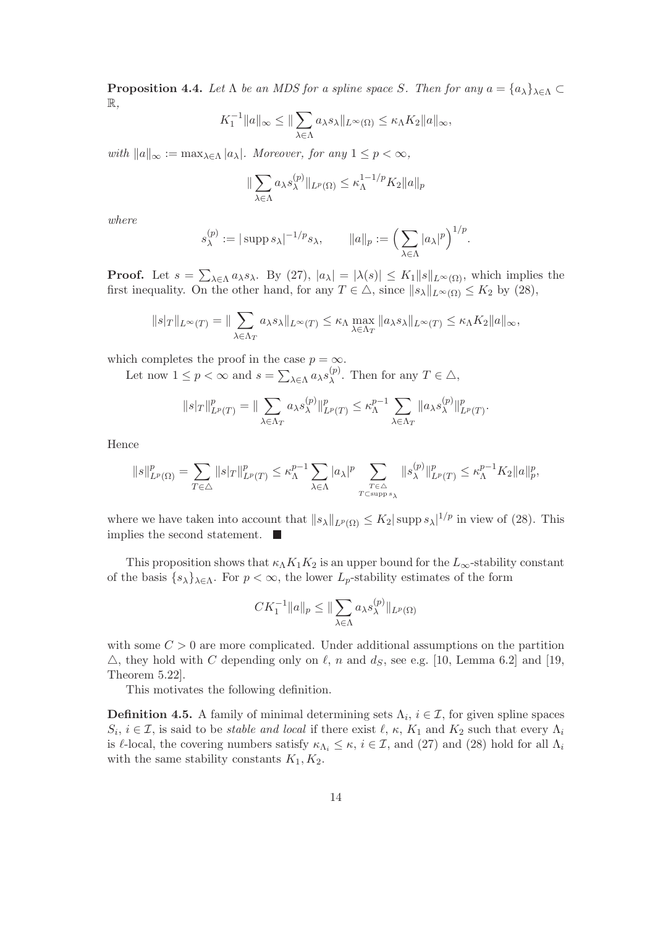**Proposition 4.4.** Let  $\Lambda$  be an MDS for a spline space S. Then for any  $a = \{a_{\lambda}\}_{{\lambda \in {\Lambda}}} \subset$ R,

$$
K_1^{-1}||a||_{\infty} \le ||\sum_{\lambda \in \Lambda} a_{\lambda} s_{\lambda}||_{L^{\infty}(\Omega)} \le \kappa_{\Lambda} K_2 ||a||_{\infty},
$$

with  $||a||_{\infty} := \max_{\lambda \in \Lambda} |a_{\lambda}|$ . Moreover, for any  $1 \le p < \infty$ ,

$$
\|\sum_{\lambda \in \Lambda} a_{\lambda} s_{\lambda}^{(p)}\|_{L^p(\Omega)} \le \kappa_{\Lambda}^{1-1/p} K_2 \|a\|_p
$$

where

$$
s_{\lambda}^{(p)} := |\operatorname{supp} s_{\lambda}|^{-1/p} s_{\lambda}, \qquad ||a||_p := \left(\sum_{\lambda \in \Lambda} |a_{\lambda}|^p\right)^{1/p}.
$$

**Proof.** Let  $s = \sum_{\lambda \in \Lambda} a_{\lambda} s_{\lambda}$ . By (27),  $|a_{\lambda}| = |\lambda(s)| \leq K_1 \|s\|_{L^{\infty}(\Omega)}$ , which implies the first inequality. On the other hand, for any  $T \in \triangle$ , since  $||s_{\lambda}||_{L^{\infty}(\Omega)} \leq K_2$  by (28),

$$
||s|_T||_{L^{\infty}(T)} = ||\sum_{\lambda \in \Lambda_T} a_{\lambda} s_{\lambda}||_{L^{\infty}(T)} \leq \kappa_{\Lambda} \max_{\lambda \in \Lambda_T} ||a_{\lambda} s_{\lambda}||_{L^{\infty}(T)} \leq \kappa_{\Lambda} K_2 ||a||_{\infty},
$$

which completes the proof in the case  $p = \infty$ .

Let now  $1 \le p < \infty$  and  $s = \sum_{\lambda \in \Lambda} a_{\lambda} s_{\lambda}^{(p)}$  $\chi^{(p)}$ . Then for any  $T \in \triangle$ ,

$$
||s|_T||_{L^p(T)}^p = ||\sum_{\lambda \in \Lambda_T} a_{\lambda} s_{\lambda}^{(p)}||_{L^p(T)}^p \leq \kappa_{\Lambda}^{p-1} \sum_{\lambda \in \Lambda_T} ||a_{\lambda} s_{\lambda}^{(p)}||_{L^p(T)}^p.
$$

Hence

$$
\|s\|_{L^p(\Omega)}^p = \sum_{T \in \triangle} \|s|_T\|_{L^p(T)}^p \le \kappa_\Lambda^{p-1} \sum_{\lambda \in \Lambda} |a_\lambda|^p \sum_{\substack{T \in \triangle \\ T \subset \text{supp } s_\lambda}} \|s_\lambda^{(p)}\|_{L^p(T)}^p \le \kappa_\Lambda^{p-1} K_2 \|a\|_p^p,
$$

where we have taken into account that  $||s_{\lambda}||_{L^{p}(\Omega)} \leq K_2 |\text{supp } s_{\lambda}|^{1/p}$  in view of (28). This implies the second statement.

This proposition shows that  $\kappa_\Lambda K_1 K_2$  is an upper bound for the  $L_\infty$ -stability constant of the basis  $\{s_{\lambda}\}_{\lambda \in \Lambda}$ . For  $p < \infty$ , the lower  $L_p$ -stability estimates of the form

$$
CK_1^{-1}||a||_p \le ||\sum_{\lambda \in \Lambda} a_{\lambda} s_{\lambda}^{(p)}||_{L^p(\Omega)}
$$

with some  $C > 0$  are more complicated. Under additional assumptions on the partition  $\triangle$ , they hold with C depending only on  $\ell$ , n and  $d_S$ , see e.g. [10, Lemma 6.2] and [19, Theorem 5.22].

This motivates the following definition.

**Definition 4.5.** A family of minimal determining sets  $\Lambda_i$ ,  $i \in \mathcal{I}$ , for given spline spaces  $S_i, i \in \mathcal{I}$ , is said to be *stable and local* if there exist  $\ell, \kappa, K_1$  and  $K_2$  such that every  $\Lambda_i$ is  $\ell$ -local, the covering numbers satisfy  $\kappa_{\Lambda_i} \leq \kappa$ ,  $i \in \mathcal{I}$ , and (27) and (28) hold for all  $\Lambda_i$ with the same stability constants  $K_1, K_2$ .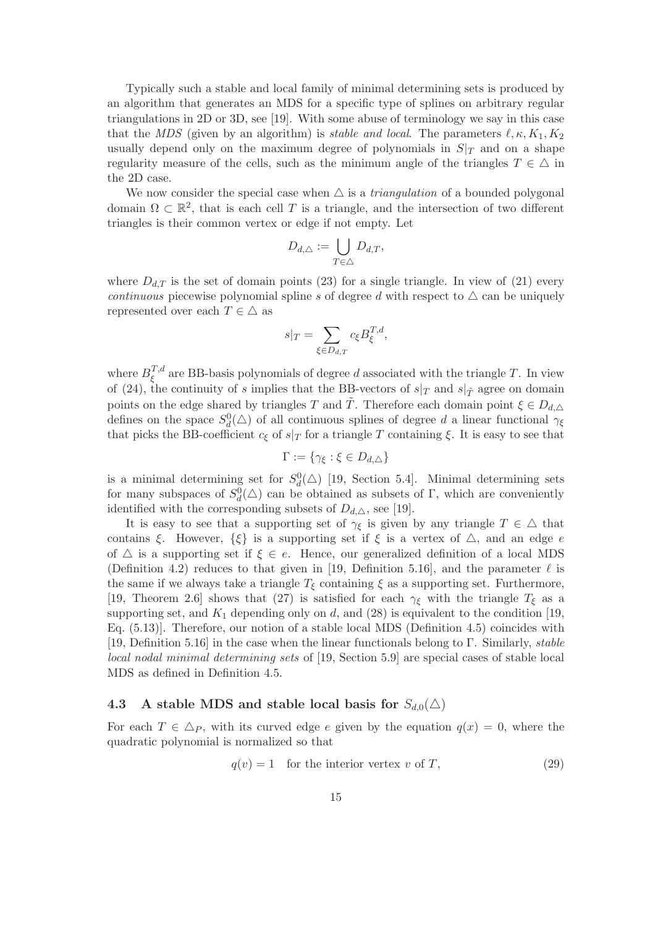Typically such a stable and local family of minimal determining sets is produced by an algorithm that generates an MDS for a specific type of splines on arbitrary regular triangulations in 2D or 3D, see [19]. With some abuse of terminology we say in this case that the MDS (given by an algorithm) is *stable and local*. The parameters  $\ell, \kappa, K_1, K_2$ usually depend only on the maximum degree of polynomials in  $S|_T$  and on a shape regularity measure of the cells, such as the minimum angle of the triangles  $T \in \Delta$  in the 2D case.

We now consider the special case when  $\triangle$  is a *triangulation* of a bounded polygonal domain  $\Omega \subset \mathbb{R}^2$ , that is each cell T is a triangle, and the intersection of two different triangles is their common vertex or edge if not empty. Let

$$
D_{d,\triangle} := \bigcup_{T \in \triangle} D_{d,T},
$$

where  $D_{d,T}$  is the set of domain points (23) for a single triangle. In view of (21) every continuous piecewise polynomial spline s of degree d with respect to  $\triangle$  can be uniquely represented over each  $T \in \Delta$  as

$$
s|_T = \sum_{\xi \in D_{d,T}} c_{\xi} B_{\xi}^{T,d},
$$

where  $B_{\xi}^{T,d}$ <sup>1,a</sup> are BB-basis polynomials of degree d associated with the triangle T. In view of (24), the continuity of s implies that the BB-vectors of  $s|_T$  and  $s|_{\tilde{T}}$  agree on domain points on the edge shared by triangles T and T<sup> $\tilde{T}$ </sup>. Therefore each domain point  $\xi \in D_{d,\Delta}$ defines on the space  $S_d^0(\triangle)$  of all continuous splines of degree d a linear functional  $\gamma_{\xi}$ that picks the BB-coefficient  $c_{\xi}$  of  $s|_{T}$  for a triangle T containing  $\xi$ . It is easy to see that

$$
\Gamma := \{ \gamma_{\xi} : \xi \in D_{d,\triangle} \}
$$

is a minimal determining set for  $S_d^0(\triangle)$  [19, Section 5.4]. Minimal determining sets for many subspaces of  $S_d^0(\triangle)$  can be obtained as subsets of Γ, which are conveniently identified with the corresponding subsets of  $D_{d,\triangle}$ , see [19].

It is easy to see that a supporting set of  $\gamma_{\xi}$  is given by any triangle  $T \in \Delta$  that contains ξ. However,  $\{\xi\}$  is a supporting set if  $\xi$  is a vertex of  $\triangle$ , and an edge e of  $\triangle$  is a supporting set if  $\xi \in e$ . Hence, our generalized definition of a local MDS (Definition 4.2) reduces to that given in [19, Definition 5.16], and the parameter  $\ell$  is the same if we always take a triangle  $T_{\xi}$  containing  $\xi$  as a supporting set. Furthermore, [19, Theorem 2.6] shows that (27) is satisfied for each  $\gamma_{\xi}$  with the triangle  $T_{\xi}$  as a supporting set, and  $K_1$  depending only on d, and  $(28)$  is equivalent to the condition [19, Eq. (5.13)]. Therefore, our notion of a stable local MDS (Definition 4.5) coincides with [19, Definition 5.16] in the case when the linear functionals belong to Γ. Similarly, stable local nodal minimal determining sets of [19, Section 5.9] are special cases of stable local MDS as defined in Definition 4.5.

### 4.3 A stable MDS and stable local basis for  $S_{d,0}(\triangle)$

For each  $T \in \Delta_P$ , with its curved edge e given by the equation  $q(x) = 0$ , where the quadratic polynomial is normalized so that

$$
q(v) = 1 \quad \text{for the interior vertex } v \text{ of } T,\tag{29}
$$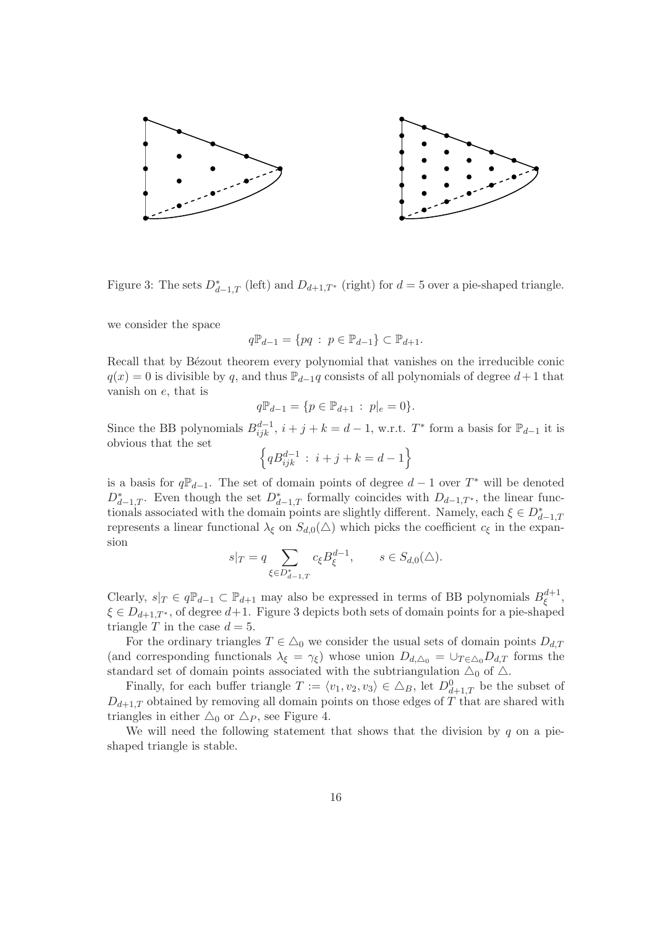

Figure 3: The sets  $D_{d-1,T}^*$  (left) and  $D_{d+1,T^*}$  (right) for  $d=5$  over a pie-shaped triangle.

we consider the space

$$
q\mathbb{P}_{d-1} = \{pq \; : \; p\in \mathbb{P}_{d-1}\} \subset \mathbb{P}_{d+1}.
$$

Recall that by Bézout theorem every polynomial that vanishes on the irreducible conic  $q(x) = 0$  is divisible by q, and thus  $\mathbb{P}_{d-1}$ q consists of all polynomials of degree  $d+1$  that vanish on e, that is

$$
q\mathbb{P}_{d-1} = \{p \in \mathbb{P}_{d+1} : p|_e = 0\}.
$$

Since the BB polynomials  $B_{ijk}^{d-1}$ ,  $i + j + k = d - 1$ , w.r.t.  $T^*$  form a basis for  $\mathbb{P}_{d-1}$  it is obvious that the set

$$
\left\{ q B_{ijk}^{d-1} : i+j+k = d-1 \right\}
$$

is a basis for  $q\mathbb{P}_{d-1}$ . The set of domain points of degree  $d-1$  over  $T^*$  will be denoted  $D_{d-1,T}^*$ . Even though the set  $D_{d-1,T}^*$  formally coincides with  $D_{d-1,T^*}$ , the linear functionals associated with the domain points are slightly different. Namely, each  $\xi \in D^*_{d-1,T}$ represents a linear functional  $\lambda_{\xi}$  on  $S_{d,0}(\triangle)$  which picks the coefficient  $c_{\xi}$  in the expansion

$$
s|_T = q \sum_{\xi \in D_{d-1,T}^*} c_{\xi} B_{\xi}^{d-1}, \qquad s \in S_{d,0}(\triangle).
$$

Clearly,  $s|_T \in q\mathbb{P}_{d-1} \subset \mathbb{P}_{d+1}$  may also be expressed in terms of BB polynomials  $B_{\xi}^{d+1}$  $\frac{a+1}{\xi},$  $\xi \in D_{d+1,T^*}$ , of degree  $d+1$ . Figure 3 depicts both sets of domain points for a pie-shaped triangle T in the case  $d = 5$ .

For the ordinary triangles  $T \in \Delta_0$  we consider the usual sets of domain points  $D_{d,T}$ (and corresponding functionals  $\lambda_{\xi} = \gamma_{\xi}$ ) whose union  $D_{d,\Delta_{0}} = \bigcup_{T \in \Delta_{0}} D_{d,T}$  forms the standard set of domain points associated with the subtriangulation  $\Delta_0$  of  $\Delta$ .

Finally, for each buffer triangle  $T := \langle v_1, v_2, v_3 \rangle \in \Delta_B$ , let  $D^0_{d+1,T}$  be the subset of  $D_{d+1,T}$  obtained by removing all domain points on those edges of T that are shared with triangles in either  $\triangle_0$  or  $\triangle_P$ , see Figure 4.

We will need the following statement that shows that the division by  $q$  on a pieshaped triangle is stable.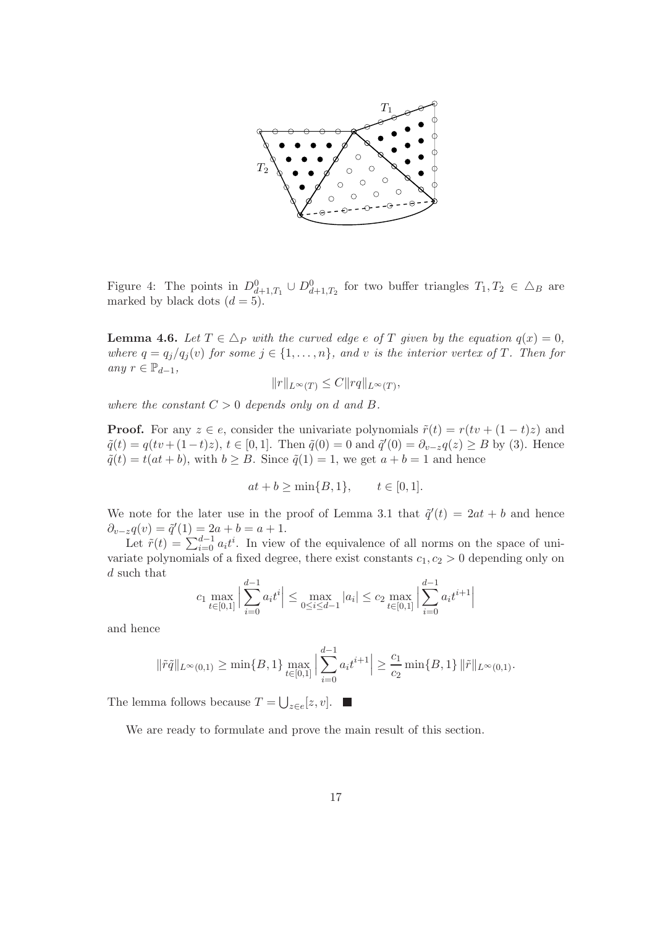

Figure 4: The points in  $D_{d+1,T_1}^0 \cup D_{d+1,T_2}^0$  for two buffer triangles  $T_1, T_2 \in \Delta_B$  are marked by black dots  $(d = 5)$ .

**Lemma 4.6.** Let  $T \in \Delta_P$  with the curved edge e of T given by the equation  $q(x) = 0$ , where  $q = q_j/q_j(v)$  for some  $j \in \{1, ..., n\}$ , and v is the interior vertex of T. Then for any  $r \in \mathbb{P}_{d-1}$ ,

$$
||r||_{L^{\infty}(T)} \leq C||rq||_{L^{\infty}(T)},
$$

where the constant  $C > 0$  depends only on d and B.

**Proof.** For any  $z \in e$ , consider the univariate polynomials  $\tilde{r}(t) = r(tv + (1-t)z)$  and  $\tilde{q}(t) = q(tv + (1-t)z), t \in [0,1].$  Then  $\tilde{q}(0) = 0$  and  $\tilde{q}'(0) = \partial_{v-z}q(z) \ge B$  by (3). Hence  $\tilde{q}(t) = t(at + b)$ , with  $b \geq B$ . Since  $\tilde{q}(1) = 1$ , we get  $a + b = 1$  and hence

$$
at + b \ge \min\{B, 1\}, \qquad t \in [0, 1].
$$

We note for the later use in the proof of Lemma 3.1 that  $\tilde{q}'(t) = 2at + b$  and hence  $\partial_{v-z}q(v) = \tilde{q}'(1) = 2a + b = a + 1.$ 

Let  $\tilde{r}(t) = \sum_{i=0}^{d-1} a_i t^i$ . In view of the equivalence of all norms on the space of univariate polynomials of a fixed degree, there exist constants  $c_1, c_2 > 0$  depending only on d such that

$$
c_1 \max_{t \in [0,1]} \left| \sum_{i=0}^{d-1} a_i t^i \right| \le \max_{0 \le i \le d-1} |a_i| \le c_2 \max_{t \in [0,1]} \left| \sum_{i=0}^{d-1} a_i t^{i+1} \right|
$$

and hence

$$
\|\tilde{r}\tilde{q}\|_{L^{\infty}(0,1)} \ge \min\{B,1\} \max_{t \in [0,1]} \left| \sum_{i=0}^{d-1} a_i t^{i+1} \right| \ge \frac{c_1}{c_2} \min\{B,1\} \, \|\tilde{r}\|_{L^{\infty}(0,1)}.
$$

The lemma follows because  $T = \bigcup_{z \in e} [z, v].$ 

We are ready to formulate and prove the main result of this section.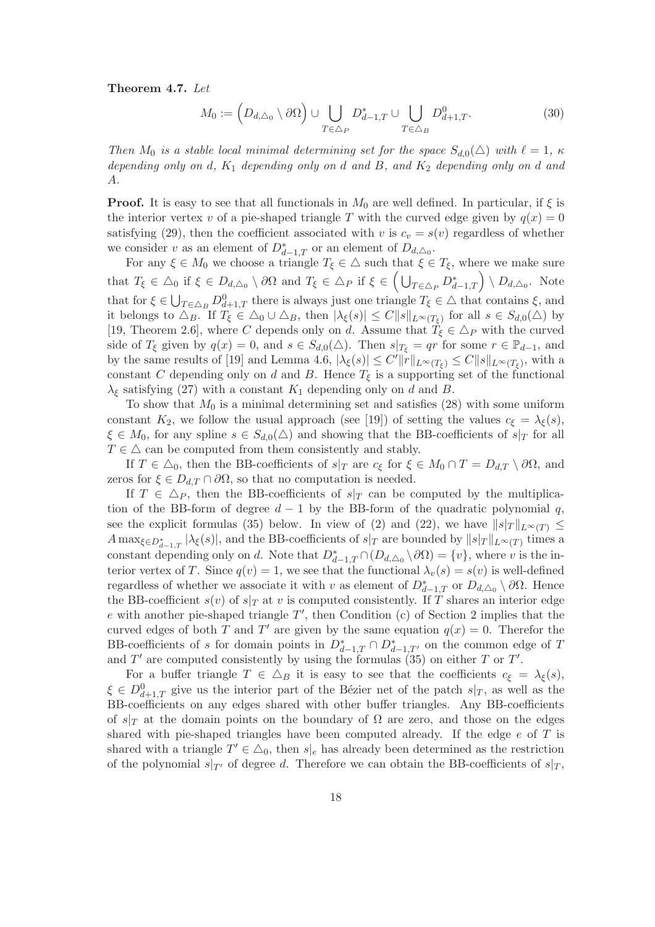Theorem 4.7. Let

$$
M_0 := \left(D_{d,\triangle_0} \setminus \partial\Omega\right) \cup \bigcup_{T \in \triangle_P} D^*_{d-1,T} \cup \bigcup_{T \in \triangle_B} D^0_{d+1,T}.\tag{30}
$$

Then  $M_0$  is a stable local minimal determining set for the space  $S_{d,0}(\triangle)$  with  $\ell = 1, \kappa$ depending only on d,  $K_1$  depending only on d and B, and  $K_2$  depending only on d and A.

**Proof.** It is easy to see that all functionals in  $M_0$  are well defined. In particular, if  $\xi$  is the interior vertex v of a pie-shaped triangle T with the curved edge given by  $q(x) = 0$ satisfying (29), then the coefficient associated with v is  $c_v = s(v)$  regardless of whether we consider v as an element of  $D_{d-1,T}^*$  or an element of  $D_{d,\triangle_0}$ .

For any  $\xi \in M_0$  we choose a triangle  $T_{\xi} \in \Delta$  such that  $\xi \in T_{\xi}$ , where we make sure that  $T_{\xi} \in \Delta_0$  if  $\xi \in D_{d,\Delta_0} \setminus \partial \Omega$  and  $T_{\xi} \in \Delta_P$  if  $\xi \in \left(\bigcup_{T \in \Delta_P} D_{d-1,T}^*\right) \setminus D_{d,\Delta_0}$ . Note that for  $\xi \in \bigcup_{T \in \Delta_B} D^0_{d+1,T}$  there is always just one triangle  $T_{\xi} \in \Delta$  that contains  $\xi$ , and it belongs to  $\Delta_B$ . If  $T_{\xi} \in \Delta_0 \cup \Delta_B$ , then  $|\lambda_{\xi}(s)| \leq C ||s||_{L^{\infty}(T_{\xi})}$  for all  $s \in S_{d,0}(\Delta)$  by [19, Theorem 2.6], where C depends only on d. Assume that  $T_{\xi} \in \Delta_P$  with the curved side of  $T_{\xi}$  given by  $q(x) = 0$ , and  $s \in S_{d,0}(\triangle)$ . Then  $s|_{T_{\xi}} = qr$  for some  $r \in \mathbb{P}_{d-1}$ , and by the same results of [19] and Lemma 4.6,  $|\lambda_{\xi}(s)| \leq C' ||r||_{L^{\infty}(T_{\xi})} \leq C ||s||_{L^{\infty}(T_{\xi})}$ , with a constant C depending only on d and B. Hence  $T_{\xi}$  is a supporting set of the functional  $\lambda_{\xi}$  satisfying (27) with a constant  $K_1$  depending only on d and B.

To show that  $M_0$  is a minimal determining set and satisfies (28) with some uniform constant  $K_2$ , we follow the usual approach (see [19]) of setting the values  $c_{\xi} = \lambda_{\xi}(s)$ ,  $\xi \in M_0$ , for any spline  $s \in S_{d,0}(\triangle)$  and showing that the BB-coefficients of  $s|_T$  for all  $T \in \Delta$  can be computed from them consistently and stably.

If  $T \in \Delta_0$ , then the BB-coefficients of  $s|_T$  are  $c_{\xi}$  for  $\xi \in M_0 \cap T = D_{d,T} \setminus \partial \Omega$ , and zeros for  $\xi \in D_{d,T} \cap \partial \Omega$ , so that no computation is needed.

If  $T \in \Delta_P$ , then the BB-coefficients of  $s|_T$  can be computed by the multiplication of the BB-form of degree  $d-1$  by the BB-form of the quadratic polynomial q, see the explicit formulas (35) below. In view of (2) and (22), we have  $||s|_T||_{L^{\infty}(T)} \le$  $A \max_{\xi \in D_{d-1,T}^*} |\lambda_{\xi}(s)|$ , and the BB-coefficients of  $s|_T$  are bounded by  $||s|_T ||_{L^{\infty}(T)}$  times a constant depending only on d. Note that  $D_{d-1,T}^* \cap (D_{d,\Delta_0} \setminus \partial \Omega) = \{v\}$ , where v is the interior vertex of T. Since  $q(v) = 1$ , we see that the functional  $\lambda_v(s) = s(v)$  is well-defined regardless of whether we associate it with v as element of  $D^*_{d-1,T}$  or  $D_{d,\Delta_0} \setminus \partial\Omega$ . Hence the BB-coefficient  $s(v)$  of  $s|_T$  at v is computed consistently. If T shares an interior edge  $e$  with another pie-shaped triangle  $T'$ , then Condition (c) of Section 2 implies that the curved edges of both T and T' are given by the same equation  $q(x) = 0$ . Therefor the BB-coefficients of s for domain points in  $D^*_{d-1,T} \cap D^*_{d-1,T'}$  on the common edge of T and  $T'$  are computed consistently by using the formulas  $(35)$  on either T or T'.

For a buffer triangle  $T \in \Delta_B$  it is easy to see that the coefficients  $c_{\xi} = \lambda_{\xi}(s)$ ,  $\xi \in D_{d+1,T}^0$  give us the interior part of the Bézier net of the patch  $s|_T$ , as well as the BB-coefficients on any edges shared with other buffer triangles. Any BB-coefficients of  $s|_T$  at the domain points on the boundary of  $\Omega$  are zero, and those on the edges shared with pie-shaped triangles have been computed already. If the edge  $e$  of  $T$  is shared with a triangle  $T' \in \Delta_0$ , then  $s|_e$  has already been determined as the restriction of the polynomial  $s|_{T'}$  of degree d. Therefore we can obtain the BB-coefficients of  $s|_T$ ,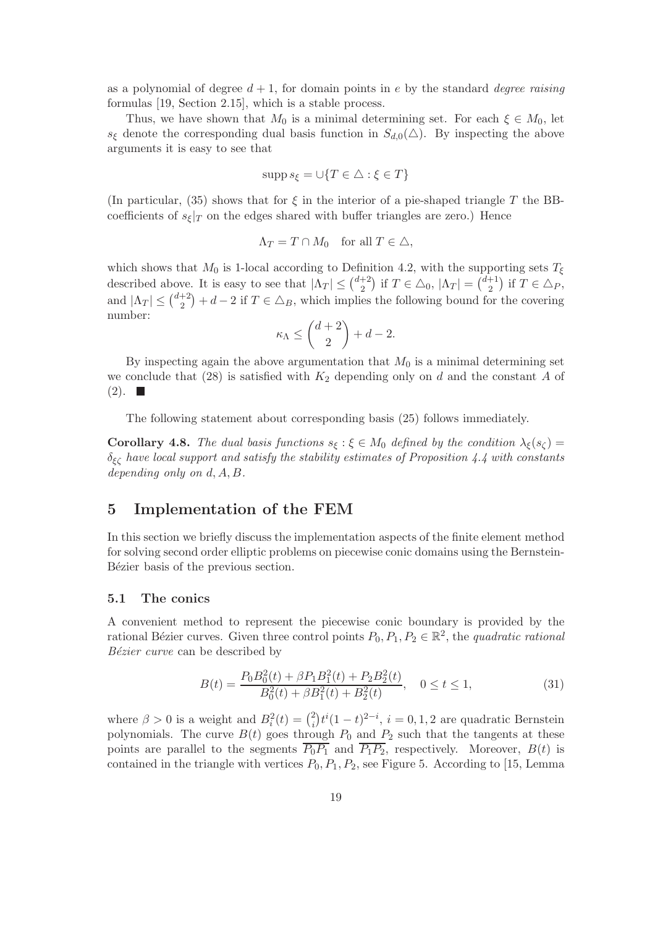as a polynomial of degree  $d+1$ , for domain points in e by the standard *degree raising* formulas [19, Section 2.15], which is a stable process.

Thus, we have shown that  $M_0$  is a minimal determining set. For each  $\xi \in M_0$ , let  $s_{\xi}$  denote the corresponding dual basis function in  $S_{d,0}(\triangle)$ . By inspecting the above arguments it is easy to see that

$$
\operatorname{supp} s_{\xi} = \cup \{ T \in \triangle : \xi \in T \}
$$

(In particular, (35) shows that for  $\xi$  in the interior of a pie-shaped triangle T the BBcoefficients of  $s_{\xi}|_{T}$  on the edges shared with buffer triangles are zero.) Hence

$$
\Lambda_T = T \cap M_0 \quad \text{for all } T \in \triangle,
$$

which shows that  $M_0$  is 1-local according to Definition 4.2, with the supporting sets  $T_\xi$ described above. It is easy to see that  $|\Lambda_T| \leq {d+2 \choose 2}$  $\binom{+2}{2}$  if  $T \in \triangle_0$ ,  $|\Lambda_T| = \binom{d+1}{2}$  $j^{+1}_{2}$  if  $T \in \triangle_{P}$ , and  $|\Lambda_T| \leq {d+2 \choose 2}$  $\binom{+2}{2} + d - 2$  if  $T \in \Delta_B$ , which implies the following bound for the covering number:

$$
\kappa_{\Lambda} \le \binom{d+2}{2} + d - 2.
$$

By inspecting again the above argumentation that  $M_0$  is a minimal determining set we conclude that  $(28)$  is satisfied with  $K_2$  depending only on d and the constant A of  $(2). \blacksquare$ 

The following statement about corresponding basis (25) follows immediately.

**Corollary 4.8.** The dual basis functions  $s_{\xi} : \xi \in M_0$  defined by the condition  $\lambda_{\xi}(s_{\zeta}) =$  $\delta_{\xi\zeta}$  have local support and satisfy the stability estimates of Proposition 4.4 with constants depending only on d, A, B.

# 5 Implementation of the FEM

In this section we briefly discuss the implementation aspects of the finite element method for solving second order elliptic problems on piecewise conic domains using the Bernstein-Bézier basis of the previous section.

#### 5.1 The conics

A convenient method to represent the piecewise conic boundary is provided by the rational Bézier curves. Given three control points  $P_0, P_1, P_2 \in \mathbb{R}^2$ , the quadratic rational Bézier curve can be described by

$$
B(t) = \frac{P_0 B_0^2(t) + \beta P_1 B_1^2(t) + P_2 B_2^2(t)}{B_0^2(t) + \beta B_1^2(t) + B_2^2(t)}, \quad 0 \le t \le 1,
$$
\n(31)

where  $\beta > 0$  is a weight and  $B_i^2(t) = \binom{2}{i}$  $t_i^2$ ,  $t^i(1-t)^{2-i}$ ,  $i=0,1,2$  are quadratic Bernstein polynomials. The curve  $B(t)$  goes through  $P_0$  and  $P_2$  such that the tangents at these points are parallel to the segments  $\overline{P_0P_1}$  and  $\overline{P_1P_2}$ , respectively. Moreover,  $B(t)$  is contained in the triangle with vertices  $P_0$ ,  $P_1$ ,  $P_2$ , see Figure 5. According to [15, Lemma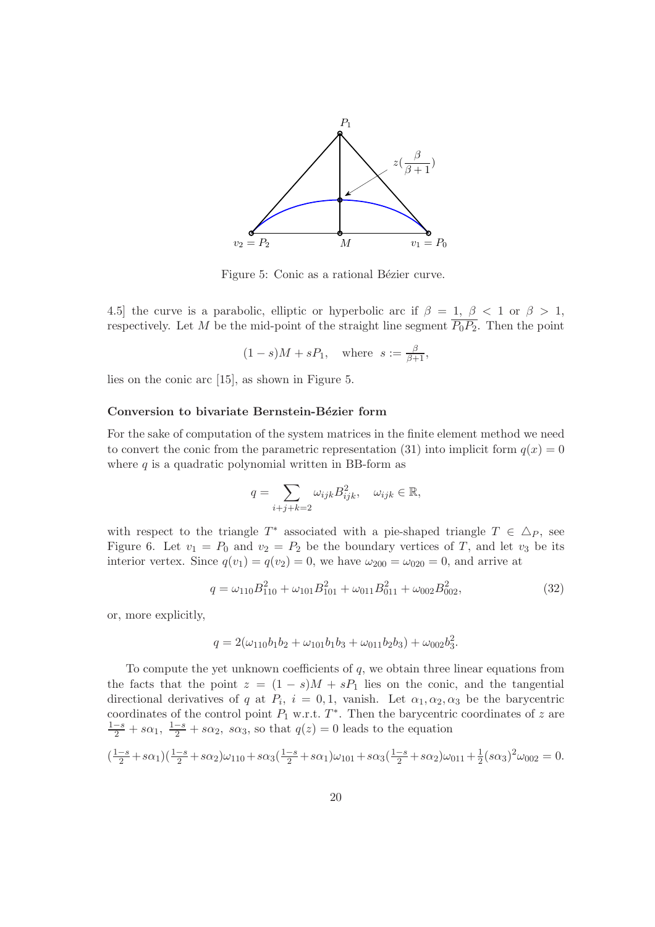

Figure 5: Conic as a rational Bézier curve.

4.5] the curve is a parabolic, elliptic or hyperbolic arc if  $\beta = 1, \beta < 1$  or  $\beta > 1$ , respectively. Let M be the mid-point of the straight line segment  $\overline{P_0P_2}$ . Then the point

$$
(1-s)M + sP_1
$$
, where  $s := \frac{\beta}{\beta+1}$ ,

lies on the conic arc [15], as shown in Figure 5.

#### Conversion to bivariate Bernstein-Bézier form

For the sake of computation of the system matrices in the finite element method we need to convert the conic from the parametric representation (31) into implicit form  $q(x) = 0$ where  $q$  is a quadratic polynomial written in BB-form as

$$
q = \sum_{i+j+k=2} \omega_{ijk} B_{ijk}^2, \quad \omega_{ijk} \in \mathbb{R},
$$

with respect to the triangle  $T^*$  associated with a pie-shaped triangle  $T \in \Delta_P$ , see Figure 6. Let  $v_1 = P_0$  and  $v_2 = P_2$  be the boundary vertices of T, and let  $v_3$  be its interior vertex. Since  $q(v_1) = q(v_2) = 0$ , we have  $\omega_{200} = \omega_{020} = 0$ , and arrive at

$$
q = \omega_{110} B_{110}^2 + \omega_{101} B_{101}^2 + \omega_{011} B_{011}^2 + \omega_{002} B_{002}^2,
$$
\n(32)

or, more explicitly,

$$
q = 2(\omega_{110}b_1b_2 + \omega_{101}b_1b_3 + \omega_{011}b_2b_3) + \omega_{002}b_3^2.
$$

To compute the yet unknown coefficients of  $q$ , we obtain three linear equations from the facts that the point  $z = (1 - s)M + sP_1$  lies on the conic, and the tangential directional derivatives of q at  $P_i$ ,  $i = 0, 1$ , vanish. Let  $\alpha_1, \alpha_2, \alpha_3$  be the barycentric coordinates of the control point  $P_1$  w.r.t.  $T^*$ . Then the barycentric coordinates of z are  $\frac{1-s}{2} + s\alpha_1$ ,  $\frac{1-s}{2} + s\alpha_2$ ,  $s\alpha_3$ , so that  $q(z) = 0$  leads to the equation

$$
\left(\frac{1-s}{2} + s\alpha_1\right)\left(\frac{1-s}{2} + s\alpha_2\right)\omega_{110} + s\alpha_3\left(\frac{1-s}{2} + s\alpha_1\right)\omega_{101} + s\alpha_3\left(\frac{1-s}{2} + s\alpha_2\right)\omega_{011} + \frac{1}{2}(s\alpha_3)^2\omega_{002} = 0.
$$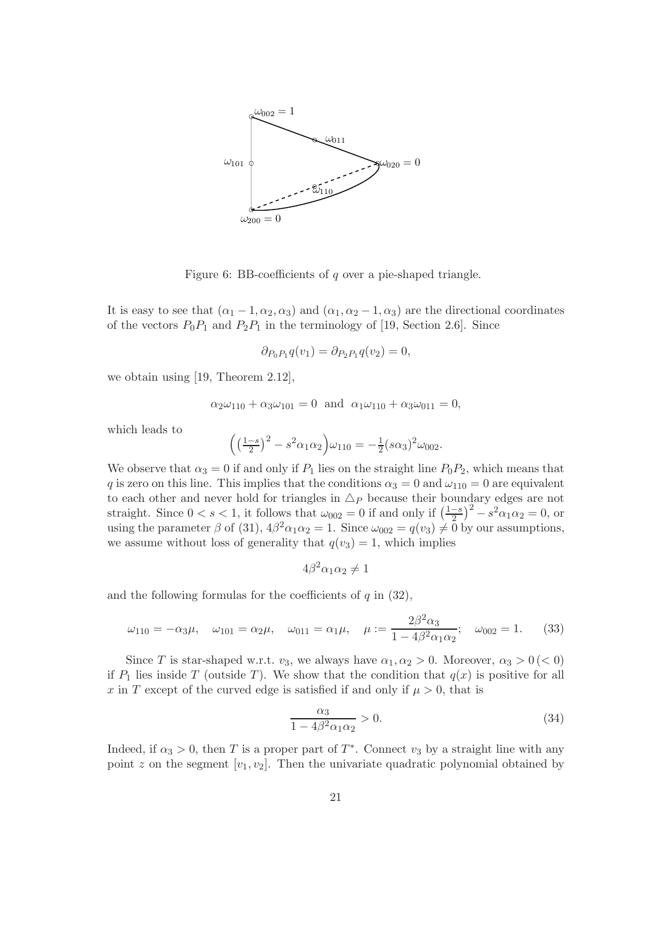

Figure 6: BB-coefficients of q over a pie-shaped triangle.

It is easy to see that  $(\alpha_1 - 1, \alpha_2, \alpha_3)$  and  $(\alpha_1, \alpha_2 - 1, \alpha_3)$  are the directional coordinates of the vectors  $P_0P_1$  and  $P_2P_1$  in the terminology of [19, Section 2.6]. Since

$$
\partial_{P_0P_1}q(v_1) = \partial_{P_2P_1}q(v_2) = 0,
$$

we obtain using [19, Theorem 2.12],

$$
\alpha_2 \omega_{110} + \alpha_3 \omega_{101} = 0
$$
 and  $\alpha_1 \omega_{110} + \alpha_3 \omega_{011} = 0$ ,

which leads to

$$
\left( \left( \frac{1-s}{2} \right)^2 - s^2 \alpha_1 \alpha_2 \right) \omega_{110} = -\frac{1}{2} (s \alpha_3)^2 \omega_{002}.
$$

We observe that  $\alpha_3 = 0$  if and only if  $P_1$  lies on the straight line  $P_0P_2$ , which means that q is zero on this line. This implies that the conditions  $\alpha_3 = 0$  and  $\omega_{110} = 0$  are equivalent to each other and never hold for triangles in  $\Delta_P$  because their boundary edges are not straight. Since  $0 < s < 1$ , it follows that  $\omega_{002} = 0$  if and only if  $\left(\frac{1-s}{2}\right)$  $(\frac{-s}{2})^2 - s^2 \alpha_1 \alpha_2 = 0$ , or using the parameter  $\beta$  of (31),  $4\beta^2\alpha_1\alpha_2 = 1$ . Since  $\omega_{002} = q(v_3) \neq 0$  by our assumptions, we assume without loss of generality that  $q(v_3) = 1$ , which implies

$$
4\beta^2\alpha_1\alpha_2\neq 1
$$

and the following formulas for the coefficients of  $q$  in  $(32)$ ,

$$
\omega_{110} = -\alpha_3 \mu, \quad \omega_{101} = \alpha_2 \mu, \quad \omega_{011} = \alpha_1 \mu, \quad \mu := \frac{2\beta^2 \alpha_3}{1 - 4\beta^2 \alpha_1 \alpha_2}; \quad \omega_{002} = 1.
$$
\n(33)

Since T is star-shaped w.r.t.  $v_3$ , we always have  $\alpha_1, \alpha_2 > 0$ . Moreover,  $\alpha_3 > 0 \, (< 0)$ if  $P_1$  lies inside T (outside T). We show that the condition that  $q(x)$  is positive for all x in T except of the curved edge is satisfied if and only if  $\mu > 0$ , that is

$$
\frac{\alpha_3}{1 - 4\beta^2 \alpha_1 \alpha_2} > 0. \tag{34}
$$

Indeed, if  $\alpha_3 > 0$ , then T is a proper part of  $T^*$ . Connect  $v_3$  by a straight line with any point z on the segment  $[v_1, v_2]$ . Then the univariate quadratic polynomial obtained by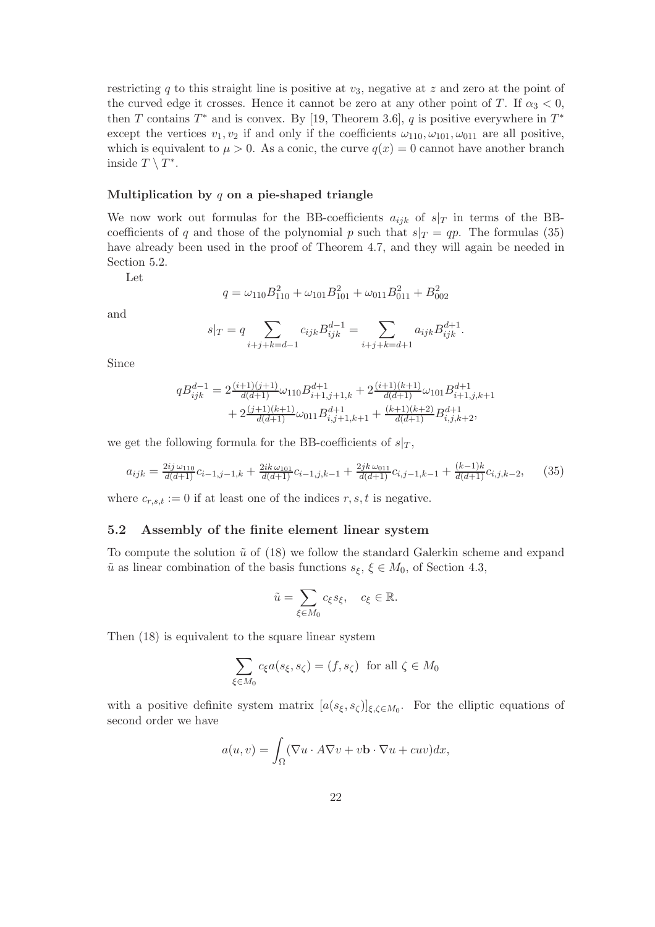restricting q to this straight line is positive at  $v_3$ , negative at z and zero at the point of the curved edge it crosses. Hence it cannot be zero at any other point of T. If  $\alpha_3 < 0$ , then T contains  $T^*$  and is convex. By [19, Theorem 3.6], q is positive everywhere in  $T^*$ except the vertices  $v_1, v_2$  if and only if the coefficients  $\omega_{110}, \omega_{101}, \omega_{011}$  are all positive, which is equivalent to  $\mu > 0$ . As a conic, the curve  $q(x) = 0$  cannot have another branch inside  $T \setminus T^*$ .

#### Multiplication by  $q$  on a pie-shaped triangle

We now work out formulas for the BB-coefficients  $a_{ijk}$  of  $s|_T$  in terms of the BBcoefficients of q and those of the polynomial p such that  $s|_T = qp$ . The formulas (35) have already been used in the proof of Theorem 4.7, and they will again be needed in Section 5.2.

Let

$$
q = \omega_{110} B_{110}^2 + \omega_{101} B_{101}^2 + \omega_{011} B_{011}^2 + B_{002}^2
$$

and

$$
s|_{T} = q \sum_{i+j+k=d-1} c_{ijk} B_{ijk}^{d-1} = \sum_{i+j+k=d+1} a_{ijk} B_{ijk}^{d+1}.
$$

Since

$$
\begin{aligned} qB_{ijk}^{d-1} &= 2\frac{(i+1)(j+1)}{d(d+1)}\omega_{110}B_{i+1,j+1,k}^{d+1} + 2\frac{(i+1)(k+1)}{d(d+1)}\omega_{101}B_{i+1,j,k+1}^{d+1} \\ &+ 2\frac{(j+1)(k+1)}{d(d+1)}\omega_{011}B_{i,j+1,k+1}^{d+1} + \frac{(k+1)(k+2)}{d(d+1)}B_{i,j,k+2}^{d+1}, \end{aligned}
$$

we get the following formula for the BB-coefficients of  $s|_T$ ,

$$
a_{ijk} = \frac{2ij\,\omega_{110}}{d(d+1)}c_{i-1,j-1,k} + \frac{2ik\,\omega_{101}}{d(d+1)}c_{i-1,j,k-1} + \frac{2jk\,\omega_{011}}{d(d+1)}c_{i,j-1,k-1} + \frac{(k-1)k}{d(d+1)}c_{i,j,k-2},\tag{35}
$$

where  $c_{r,s,t} := 0$  if at least one of the indices  $r, s, t$  is negative.

#### 5.2 Assembly of the finite element linear system

To compute the solution  $\tilde{u}$  of (18) we follow the standard Galerkin scheme and expand  $\tilde{u}$  as linear combination of the basis functions  $s_{\xi}, \xi \in M_0$ , of Section 4.3,

$$
\tilde{u} = \sum_{\xi \in M_0} c_{\xi} s_{\xi}, \quad c_{\xi} \in \mathbb{R}.
$$

Then (18) is equivalent to the square linear system

$$
\sum_{\xi \in M_0} c_{\xi} a(s_{\xi}, s_{\zeta}) = (f, s_{\zeta}) \text{ for all } \zeta \in M_0
$$

with a positive definite system matrix  $[a(s_{\xi}, s_{\zeta})]_{\xi, \zeta \in M_0}$ . For the elliptic equations of second order we have

$$
a(u, v) = \int_{\Omega} (\nabla u \cdot A \nabla v + v \mathbf{b} \cdot \nabla u + cuv) dx,
$$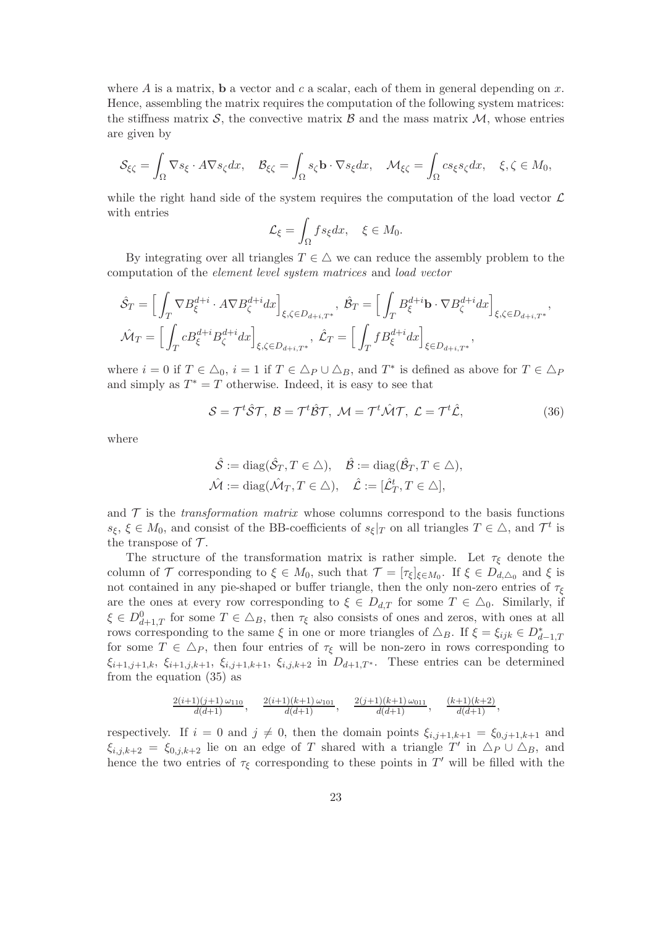where A is a matrix, **b** a vector and c a scalar, each of them in general depending on x. Hence, assembling the matrix requires the computation of the following system matrices: the stiffness matrix  $S$ , the convective matrix  $B$  and the mass matrix  $M$ , whose entries are given by

$$
\mathcal{S}_{\xi\zeta} = \int_{\Omega} \nabla s_{\xi} \cdot A \nabla s_{\zeta} dx, \quad \mathcal{B}_{\xi\zeta} = \int_{\Omega} s_{\zeta} \mathbf{b} \cdot \nabla s_{\xi} dx, \quad \mathcal{M}_{\xi\zeta} = \int_{\Omega} c s_{\xi} s_{\zeta} dx, \quad \xi, \zeta \in M_0,
$$

while the right hand side of the system requires the computation of the load vector  $\mathcal L$ with entries

$$
\mathcal{L}_{\xi} = \int_{\Omega} f s_{\xi} dx, \quad \xi \in M_0.
$$

By integrating over all triangles  $T \in \triangle$  we can reduce the assembly problem to the computation of the element level system matrices and load vector

$$
\hat{S}_T = \left[ \int_T \nabla B_{\xi}^{d+i} \cdot A \nabla B_{\zeta}^{d+i} dx \right]_{\xi, \zeta \in D_{d+i,T^*}}, \ \hat{B}_T = \left[ \int_T B_{\xi}^{d+i} \mathbf{b} \cdot \nabla B_{\zeta}^{d+i} dx \right]_{\xi, \zeta \in D_{d+i,T^*}},
$$

$$
\hat{\mathcal{M}}_T = \left[ \int_T c B_{\xi}^{d+i} B_{\zeta}^{d+i} dx \right]_{\xi, \zeta \in D_{d+i,T^*}}, \ \hat{L}_T = \left[ \int_T f B_{\xi}^{d+i} dx \right]_{\xi \in D_{d+i,T^*}},
$$

where  $i = 0$  if  $T \in \Delta_0$ ,  $i = 1$  if  $T \in \Delta_P \cup \Delta_B$ , and  $T^*$  is defined as above for  $T \in \Delta_P$ and simply as  $T^* = T$  otherwise. Indeed, it is easy to see that

$$
S = \mathcal{T}^t \hat{S} \mathcal{T}, \ B = \mathcal{T}^t \hat{B} \mathcal{T}, \ \mathcal{M} = \mathcal{T}^t \hat{\mathcal{M}} \mathcal{T}, \ \mathcal{L} = \mathcal{T}^t \hat{\mathcal{L}}, \tag{36}
$$

where

$$
\hat{\mathcal{S}} := \text{diag}(\hat{\mathcal{S}}_T, T \in \triangle), \quad \hat{\mathcal{B}} := \text{diag}(\hat{\mathcal{B}}_T, T \in \triangle), \n\hat{\mathcal{M}} := \text{diag}(\hat{\mathcal{M}}_T, T \in \triangle), \quad \hat{\mathcal{L}} := [\hat{\mathcal{L}}_T^t, T \in \triangle],
$$

and  $\mathcal T$  is the transformation matrix whose columns correspond to the basis functions  $s_{\xi}, \xi \in M_0$ , and consist of the BB-coefficients of  $s_{\xi}|_T$  on all triangles  $T \in \Delta$ , and  $\mathcal{T}^t$  is the transpose of  $\mathcal{T}$ .

The structure of the transformation matrix is rather simple. Let  $\tau_{\xi}$  denote the column of  $\mathcal T$  corresponding to  $\xi \in M_0$ , such that  $\mathcal T = [\tau_\xi]_{\xi \in M_0}$ . If  $\xi \in D_{d,\Delta_0}$  and  $\xi$  is not contained in any pie-shaped or buffer triangle, then the only non-zero entries of  $\tau_{\xi}$ are the ones at every row corresponding to  $\xi \in D_{d,T}$  for some  $T \in \Delta_0$ . Similarly, if  $\xi \in D_{d+1,T}^0$  for some  $T \in \Delta_B$ , then  $\tau_{\xi}$  also consists of ones and zeros, with ones at all rows corresponding to the same  $\xi$  in one or more triangles of  $\Delta_B$ . If  $\xi = \xi_{ijk} \in D^*_{d-1,T}$ for some  $T \in \Delta_P$ , then four entries of  $\tau_{\xi}$  will be non-zero in rows corresponding to  $\xi_{i+1,j+1,k}$ ,  $\xi_{i+1,j,k+1}$ ,  $\xi_{i,j+1,k+1}$ ,  $\xi_{i,j,k+2}$  in  $D_{d+1,T^*}$ . These entries can be determined from the equation (35) as

$$
\frac{2(i+1)(j+1)\,\omega_{110}}{d(d+1)},\qquad \frac{2(i+1)(k+1)\,\omega_{101}}{d(d+1)},\qquad \frac{2(j+1)(k+1)\,\omega_{011}}{d(d+1)},\qquad \frac{(k+1)(k+2)}{d(d+1)},
$$

respectively. If  $i = 0$  and  $j \neq 0$ , then the domain points  $\xi_{i,j+1,k+1} = \xi_{0,j+1,k+1}$  and  $\xi_{i,j,k+2} = \xi_{0,j,k+2}$  lie on an edge of T shared with a triangle  $T'$  in  $\Delta_P \cup \Delta_B$ , and hence the two entries of  $\tau_{\xi}$  corresponding to these points in T' will be filled with the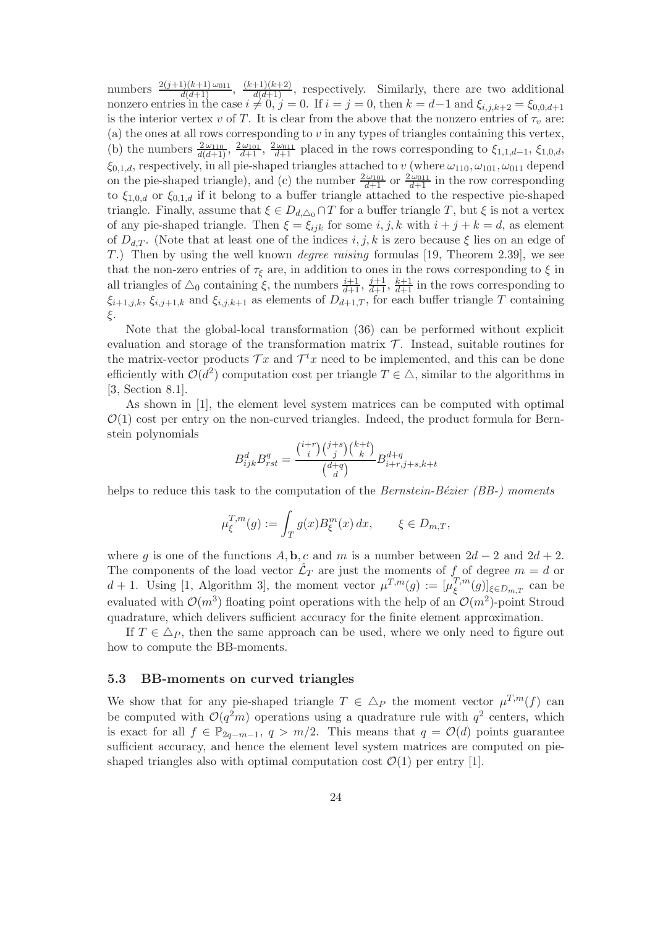numbers  $\frac{2(j+1)(k+1)\omega_{011}}{d(d+1)}$ ,  $\frac{(k+1)(k+2)}{d(d+1)}$ , respectively. Similarly, there are two additional nonzero entries in the case  $i \neq 0$ ,  $j = 0$ . If  $i = j = 0$ , then  $k = d-1$  and  $\xi_{i,j,k+2} = \xi_{0,0,d+1}$ is the interior vertex v of T. It is clear from the above that the nonzero entries of  $\tau_v$  are: (a) the ones at all rows corresponding to  $v$  in any types of triangles containing this vertex, (b) the numbers  $\frac{2\omega_{110}}{d(d+1)}$ ,  $\frac{2\omega_{101}}{d+1}$ ,  $\frac{2\omega_{011}}{d+1}$  placed in the rows corresponding to  $\xi_{1,1,d-1}$ ,  $\xi_{1,0,d}$ ,  $\xi_{0,1,d}$ , respectively, in all pie-shaped triangles attached to v (where  $\omega_{110}, \omega_{101}, \omega_{011}$  depend on the pie-shaped triangle), and (c) the number  $\frac{2\omega_{011}}{d+1}$  or  $\frac{2\omega_{011}}{d+1}$  in the row corresponding to  $\xi_{1,0,d}$  or  $\xi_{0,1,d}$  if it belong to a buffer triangle attached to the respective pie-shaped triangle. Finally, assume that  $\xi \in D_{d,\Delta_0} \cap T$  for a buffer triangle T, but  $\xi$  is not a vertex of any pie-shaped triangle. Then  $\xi = \xi_{ijk}$  for some  $i, j, k$  with  $i + j + k = d$ , as element of  $D_{d,T}$ . (Note that at least one of the indices i, j, k is zero because  $\xi$  lies on an edge of T.) Then by using the well known degree raising formulas [19, Theorem 2.39], we see that the non-zero entries of  $\tau_{\xi}$  are, in addition to ones in the rows corresponding to  $\xi$  in all triangles of  $\triangle_0$  containing  $\xi$ , the numbers  $\frac{i+1}{d+1}$ ,  $\frac{j+1}{d+1}$ ,  $\frac{k+1}{d+1}$  in the rows corresponding to  $\xi_{i+1,j,k}, \xi_{i,j+1,k}$  and  $\xi_{i,j,k+1}$  as elements of  $D_{d+1,T}$ , for each buffer triangle T containing ξ.

Note that the global-local transformation (36) can be performed without explicit evaluation and storage of the transformation matrix  $\mathcal T$ . Instead, suitable routines for the matrix-vector products  $\mathcal{T}x$  and  $\mathcal{T}^t x$  need to be implemented, and this can be done efficiently with  $\mathcal{O}(d^2)$  computation cost per triangle  $T \in \Delta$ , similar to the algorithms in [3, Section 8.1].

As shown in [1], the element level system matrices can be computed with optimal  $\mathcal{O}(1)$  cost per entry on the non-curved triangles. Indeed, the product formula for Bernstein polynomials

$$
B_{ijk}^d B_{rst}^q = \frac{\binom{i+r}{i}\binom{j+s}{j}\binom{k+t}{k}}{\binom{d+q}{d}} B_{i+r,j+s,k+t}^{d+q}
$$

helps to reduce this task to the computation of the *Bernstein-Bézier (BB-)* moments

$$
\mu_{\xi}^{T,m}(g) := \int_{T} g(x) B_{\xi}^{m}(x) dx, \qquad \xi \in D_{m,T},
$$

where g is one of the functions  $A, \mathbf{b}, c$  and m is a number between  $2d - 2$  and  $2d + 2$ . The components of the load vector  $\mathcal{L}_T$  are just the moments of f of degree  $m = d$  or  $d+1$ . Using [1, Algorithm 3], the moment vector  $\mu^{T,m}(g) := [\mu^{T,m}_g]$  $(\xi^{I,m}(g))_{\xi \in D_{m,T}}$  can be evaluated with  $\mathcal{O}(m^3)$  floating point operations with the help of an  $\mathcal{O}(m^2)$ -point Stroud quadrature, which delivers sufficient accuracy for the finite element approximation.

If  $T \in \Delta_P$ , then the same approach can be used, where we only need to figure out how to compute the BB-moments.

#### 5.3 BB-moments on curved triangles

We show that for any pie-shaped triangle  $T \in \Delta_P$  the moment vector  $\mu^{T,m}(f)$  can be computed with  $\mathcal{O}(q^2m)$  operations using a quadrature rule with  $q^2$  centers, which is exact for all  $f \in \mathbb{P}_{2q-m-1}$ ,  $q > m/2$ . This means that  $q = \mathcal{O}(d)$  points guarantee sufficient accuracy, and hence the element level system matrices are computed on pieshaped triangles also with optimal computation cost  $\mathcal{O}(1)$  per entry [1].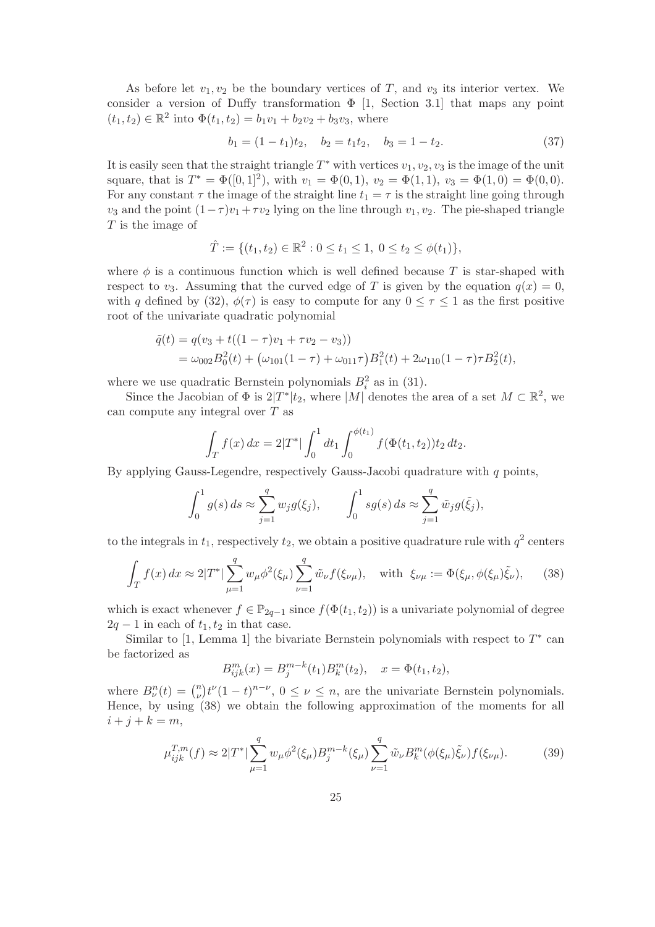As before let  $v_1, v_2$  be the boundary vertices of T, and  $v_3$  its interior vertex. We consider a version of Duffy transformation  $\Phi$  [1, Section 3.1] that maps any point  $(t_1, t_2) \in \mathbb{R}^2$  into  $\Phi(t_1, t_2) = b_1v_1 + b_2v_2 + b_3v_3$ , where

$$
b_1 = (1 - t_1)t_2, \quad b_2 = t_1t_2, \quad b_3 = 1 - t_2. \tag{37}
$$

It is easily seen that the straight triangle  $T^*$  with vertices  $v_1, v_2, v_3$  is the image of the unit square, that is  $T^* = \Phi([0,1]^2)$ , with  $v_1 = \Phi(0,1)$ ,  $v_2 = \Phi(1,1)$ ,  $v_3 = \Phi(1,0) = \Phi(0,0)$ . For any constant  $\tau$  the image of the straight line  $t_1 = \tau$  is the straight line going through  $v_3$  and the point  $(1-\tau)v_1+\tau v_2$  lying on the line through  $v_1, v_2$ . The pie-shaped triangle T is the image of

$$
\hat{T} := \{ (t_1, t_2) \in \mathbb{R}^2 : 0 \le t_1 \le 1, \ 0 \le t_2 \le \phi(t_1) \},
$$

where  $\phi$  is a continuous function which is well defined because T is star-shaped with respect to  $v_3$ . Assuming that the curved edge of T is given by the equation  $q(x) = 0$ , with q defined by (32),  $\phi(\tau)$  is easy to compute for any  $0 \leq \tau \leq 1$  as the first positive root of the univariate quadratic polynomial

$$
\tilde{q}(t) = q(v_3 + t((1 - \tau)v_1 + \tau v_2 - v_3))
$$
  
=  $\omega_{002}B_0^2(t) + (\omega_{101}(1 - \tau) + \omega_{011}\tau)B_1^2(t) + 2\omega_{110}(1 - \tau)\tau B_2^2(t),$ 

where we use quadratic Bernstein polynomials  $B_i^2$  as in (31).

Since the Jacobian of  $\Phi$  is  $2|T^*|t_2$ , where  $|M|$  denotes the area of a set  $M \subset \mathbb{R}^2$ , we can compute any integral over  $T$  as

$$
\int_T f(x) dx = 2|T^*| \int_0^1 dt_1 \int_0^{\phi(t_1)} f(\Phi(t_1, t_2)) t_2 dt_2.
$$

By applying Gauss-Legendre, respectively Gauss-Jacobi quadrature with  $q$  points,

$$
\int_0^1 g(s) ds \approx \sum_{j=1}^q w_j g(\xi_j), \qquad \int_0^1 s g(s) ds \approx \sum_{j=1}^q \tilde{w}_j g(\tilde{\xi}_j),
$$

to the integrals in  $t_1$ , respectively  $t_2$ , we obtain a positive quadrature rule with  $q^2$  centers

$$
\int_{T} f(x) dx \approx 2|T^*| \sum_{\mu=1}^{q} w_{\mu} \phi^2(\xi_{\mu}) \sum_{\nu=1}^{q} \tilde{w}_{\nu} f(\xi_{\nu \mu}), \text{ with } \xi_{\nu \mu} := \Phi(\xi_{\mu}, \phi(\xi_{\mu}) \tilde{\xi}_{\nu}), \quad (38)
$$

which is exact whenever  $f \in \mathbb{P}_{2q-1}$  since  $f(\Phi(t_1, t_2))$  is a univariate polynomial of degree  $2q - 1$  in each of  $t_1, t_2$  in that case.

Similar to [1, Lemma 1] the bivariate Bernstein polynomials with respect to  $T^*$  can be factorized as

$$
B_{ijk}^m(x) = B_j^{m-k}(t_1)B_k^m(t_2), \quad x = \Phi(t_1, t_2),
$$

where  $B_{\nu}^{n}(t) = \binom{n}{\nu}$  $\sum_{\nu}^{n} (1-t)^{n-\nu}$ ,  $0 \le \nu \le n$ , are the univariate Bernstein polynomials. Hence, by using (38) we obtain the following approximation of the moments for all  $i + j + k = m,$ 

$$
\mu_{ijk}^{T,m}(f) \approx 2|T^*| \sum_{\mu=1}^q w_{\mu} \phi^2(\xi_{\mu}) B_j^{m-k}(\xi_{\mu}) \sum_{\nu=1}^q \tilde{w}_{\nu} B_k^m(\phi(\xi_{\mu}) \tilde{\xi}_{\nu}) f(\xi_{\nu \mu}). \tag{39}
$$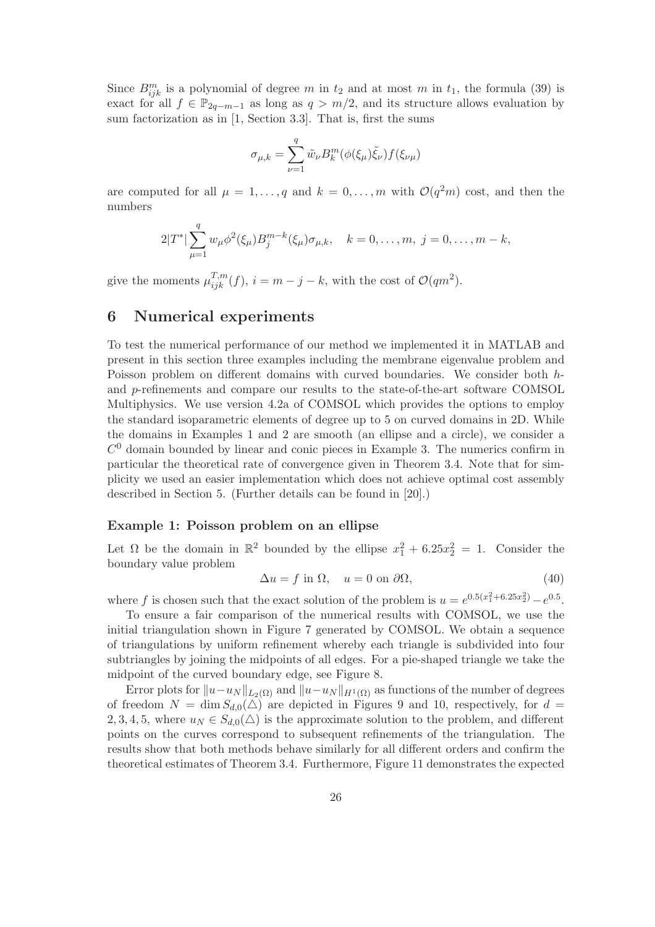Since  $B^m_{ijk}$  is a polynomial of degree m in  $t_2$  and at most m in  $t_1$ , the formula (39) is exact for all  $f \in \mathbb{P}_{2q-m-1}$  as long as  $q > m/2$ , and its structure allows evaluation by sum factorization as in [1, Section 3.3]. That is, first the sums

$$
\sigma_{\mu,k} = \sum_{\nu=1}^{q} \tilde{w}_{\nu} B_{k}^{m} (\phi(\xi_{\mu}) \tilde{\xi}_{\nu}) f(\xi_{\nu\mu})
$$

are computed for all  $\mu = 1, \ldots, q$  and  $k = 0, \ldots, m$  with  $\mathcal{O}(q^2m)$  cost, and then the numbers

$$
2|T^*| \sum_{\mu=1}^q w_{\mu} \phi^2(\xi_{\mu}) B_j^{m-k}(\xi_{\mu}) \sigma_{\mu,k}, \quad k = 0, \dots, m, \ j = 0, \dots, m-k,
$$

give the moments  $\mu_{ijk}^{T,m}(f)$ ,  $i = m - j - k$ , with the cost of  $\mathcal{O}(qm^2)$ .

# 6 Numerical experiments

To test the numerical performance of our method we implemented it in MATLAB and present in this section three examples including the membrane eigenvalue problem and Poisson problem on different domains with curved boundaries. We consider both hand p-refinements and compare our results to the state-of-the-art software COMSOL Multiphysics. We use version 4.2a of COMSOL which provides the options to employ the standard isoparametric elements of degree up to 5 on curved domains in 2D. While the domains in Examples 1 and 2 are smooth (an ellipse and a circle), we consider a  $C<sup>0</sup>$  domain bounded by linear and conic pieces in Example 3. The numerics confirm in particular the theoretical rate of convergence given in Theorem 3.4. Note that for simplicity we used an easier implementation which does not achieve optimal cost assembly described in Section 5. (Further details can be found in [20].)

### Example 1: Poisson problem on an ellipse

Let  $\Omega$  be the domain in  $\mathbb{R}^2$  bounded by the ellipse  $x_1^2 + 6.25x_2^2 = 1$ . Consider the boundary value problem

$$
\Delta u = f \text{ in } \Omega, \quad u = 0 \text{ on } \partial \Omega,
$$
\n(40)

where f is chosen such that the exact solution of the problem is  $u = e^{0.5(x_1^2 + 6.25x_2^2)} - e^{0.5}$ .

To ensure a fair comparison of the numerical results with COMSOL, we use the initial triangulation shown in Figure 7 generated by COMSOL. We obtain a sequence of triangulations by uniform refinement whereby each triangle is subdivided into four subtriangles by joining the midpoints of all edges. For a pie-shaped triangle we take the midpoint of the curved boundary edge, see Figure 8.

Error plots for  $||u-u_N||_{L_2(\Omega)}$  and  $||u-u_N||_{H^1(\Omega)}$  as functions of the number of degrees of freedom  $N = \dim S_{d,0}(\triangle)$  are depicted in Figures 9 and 10, respectively, for  $d =$ 2, 3, 4, 5, where  $u_N \in S_{d,0}(\triangle)$  is the approximate solution to the problem, and different points on the curves correspond to subsequent refinements of the triangulation. The results show that both methods behave similarly for all different orders and confirm the theoretical estimates of Theorem 3.4. Furthermore, Figure 11 demonstrates the expected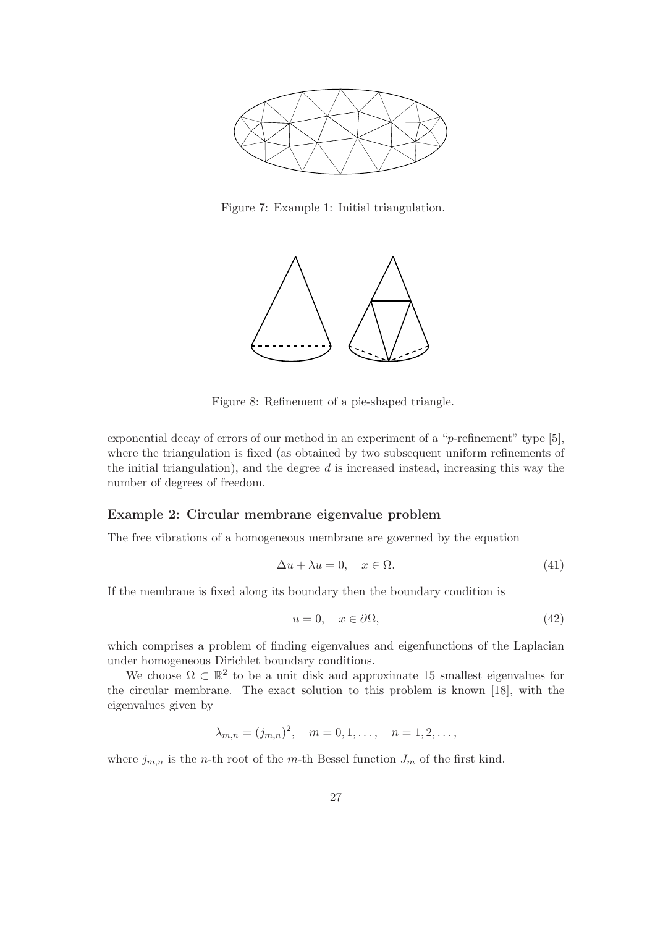

Figure 7: Example 1: Initial triangulation.



Figure 8: Refinement of a pie-shaped triangle.

exponential decay of errors of our method in an experiment of a "p-refinement" type [5], where the triangulation is fixed (as obtained by two subsequent uniform refinements of the initial triangulation), and the degree  $d$  is increased instead, increasing this way the number of degrees of freedom.

#### Example 2: Circular membrane eigenvalue problem

The free vibrations of a homogeneous membrane are governed by the equation

$$
\Delta u + \lambda u = 0, \quad x \in \Omega. \tag{41}
$$

If the membrane is fixed along its boundary then the boundary condition is

$$
u = 0, \quad x \in \partial\Omega,\tag{42}
$$

which comprises a problem of finding eigenvalues and eigenfunctions of the Laplacian under homogeneous Dirichlet boundary conditions.

We choose  $\Omega \subset \mathbb{R}^2$  to be a unit disk and approximate 15 smallest eigenvalues for the circular membrane. The exact solution to this problem is known [18], with the eigenvalues given by

$$
\lambda_{m,n} = (j_{m,n})^2, \quad m = 0, 1, \ldots, \quad n = 1, 2, \ldots,
$$

where  $j_{m,n}$  is the *n*-th root of the *m*-th Bessel function  $J_m$  of the first kind.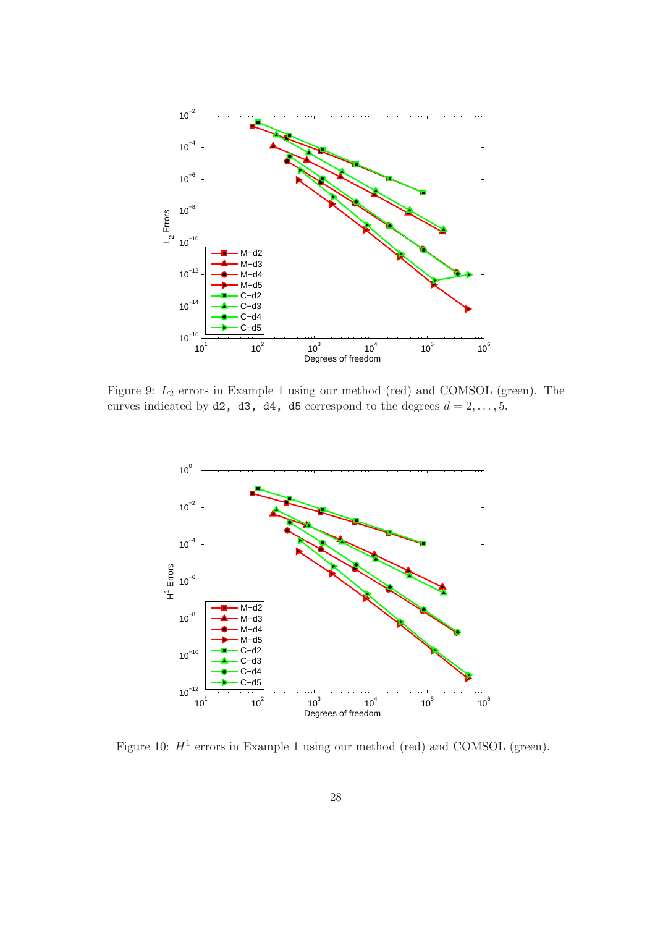

Figure 9: L<sup>2</sup> errors in Example 1 using our method (red) and COMSOL (green). The curves indicated by d2, d3, d4, d5 correspond to the degrees  $d = 2, \ldots, 5$ .



Figure 10:  $H^1$  errors in Example 1 using our method (red) and COMSOL (green).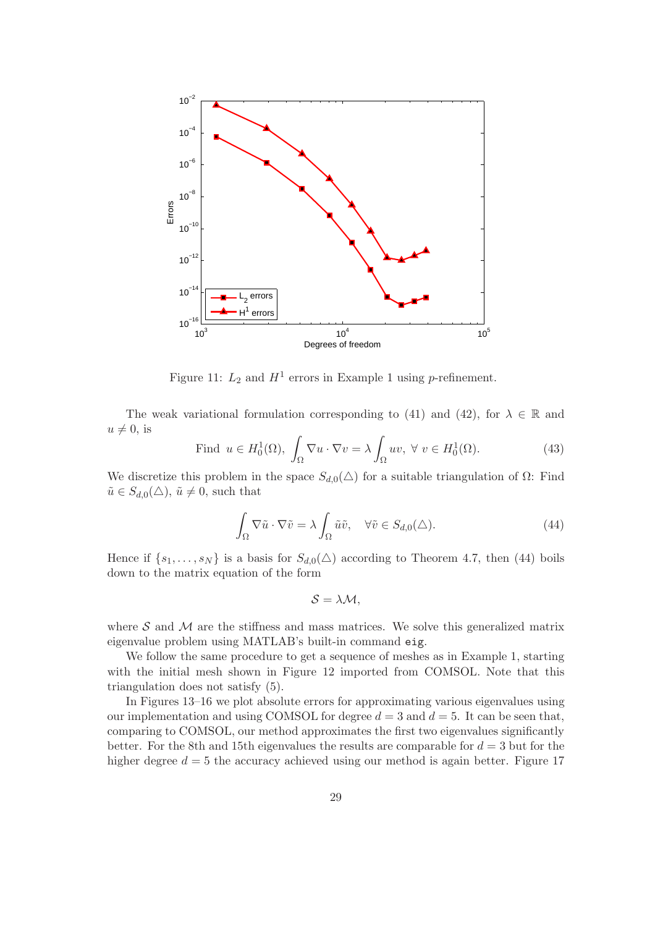

Figure 11:  $L_2$  and  $H^1$  errors in Example 1 using *p*-refinement.

The weak variational formulation corresponding to (41) and (42), for  $\lambda \in \mathbb{R}$  and  $u \neq 0$ , is

Find 
$$
u \in H_0^1(\Omega)
$$
,  $\int_{\Omega} \nabla u \cdot \nabla v = \lambda \int_{\Omega} uv, \ \forall \ v \in H_0^1(\Omega)$ . (43)

We discretize this problem in the space  $S_{d,0}(\triangle)$  for a suitable triangulation of  $\Omega$ : Find  $\tilde{u} \in S_{d,0}(\triangle)$ ,  $\tilde{u} \neq 0$ , such that

$$
\int_{\Omega} \nabla \tilde{u} \cdot \nabla \tilde{v} = \lambda \int_{\Omega} \tilde{u} \tilde{v}, \quad \forall \tilde{v} \in S_{d,0}(\triangle). \tag{44}
$$

Hence if  $\{s_1, \ldots, s_N\}$  is a basis for  $S_{d,0}(\triangle)$  according to Theorem 4.7, then (44) boils down to the matrix equation of the form

$$
S=\lambda\mathcal{M},
$$

where  $S$  and  $M$  are the stiffness and mass matrices. We solve this generalized matrix eigenvalue problem using MATLAB's built-in command eig.

We follow the same procedure to get a sequence of meshes as in Example 1, starting with the initial mesh shown in Figure 12 imported from COMSOL. Note that this triangulation does not satisfy (5).

In Figures 13–16 we plot absolute errors for approximating various eigenvalues using our implementation and using COMSOL for degree  $d = 3$  and  $d = 5$ . It can be seen that, comparing to COMSOL, our method approximates the first two eigenvalues significantly better. For the 8th and 15th eigenvalues the results are comparable for  $d = 3$  but for the higher degree  $d = 5$  the accuracy achieved using our method is again better. Figure 17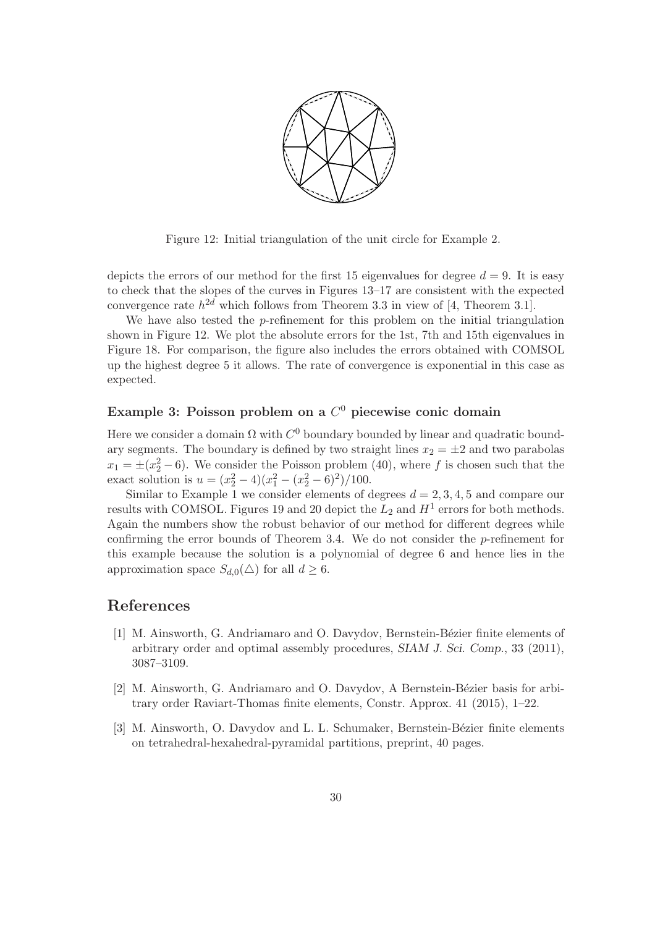

Figure 12: Initial triangulation of the unit circle for Example 2.

depicts the errors of our method for the first 15 eigenvalues for degree  $d = 9$ . It is easy to check that the slopes of the curves in Figures 13–17 are consistent with the expected convergence rate  $h^{2d}$  which follows from Theorem 3.3 in view of [4, Theorem 3.1].

We have also tested the *p*-refinement for this problem on the initial triangulation shown in Figure 12. We plot the absolute errors for the 1st, 7th and 15th eigenvalues in Figure 18. For comparison, the figure also includes the errors obtained with COMSOL up the highest degree 5 it allows. The rate of convergence is exponential in this case as expected.

# Example 3: Poisson problem on a  $C^0$  piecewise conic domain

Here we consider a domain  $\Omega$  with  $C^0$  boundary bounded by linear and quadratic boundary segments. The boundary is defined by two straight lines  $x_2 = \pm 2$  and two parabolas  $x_1 = \pm (x_2^2 - 6)$ . We consider the Poisson problem (40), where f is chosen such that the exact solution is  $u = (x_2^2 - 4)(x_1^2 - (x_2^2 - 6)^2)/100$ .

Similar to Example 1 we consider elements of degrees  $d = 2, 3, 4, 5$  and compare our results with COMSOL. Figures 19 and 20 depict the  $L_2$  and  $H^1$  errors for both methods. Again the numbers show the robust behavior of our method for different degrees while confirming the error bounds of Theorem 3.4. We do not consider the p-refinement for this example because the solution is a polynomial of degree 6 and hence lies in the approximation space  $S_{d,0}(\triangle)$  for all  $d \geq 6$ .

# References

- [1] M. Ainsworth, G. Andriamaro and O. Davydov, Bernstein-Bézier finite elements of arbitrary order and optimal assembly procedures, SIAM J. Sci. Comp., 33 (2011), 3087–3109.
- [2] M. Ainsworth, G. Andriamaro and O. Davydov, A Bernstein-Bézier basis for arbitrary order Raviart-Thomas finite elements, Constr. Approx. 41 (2015), 1–22.
- [3] M. Ainsworth, O. Davydov and L. L. Schumaker, Bernstein-Bézier finite elements on tetrahedral-hexahedral-pyramidal partitions, preprint, 40 pages.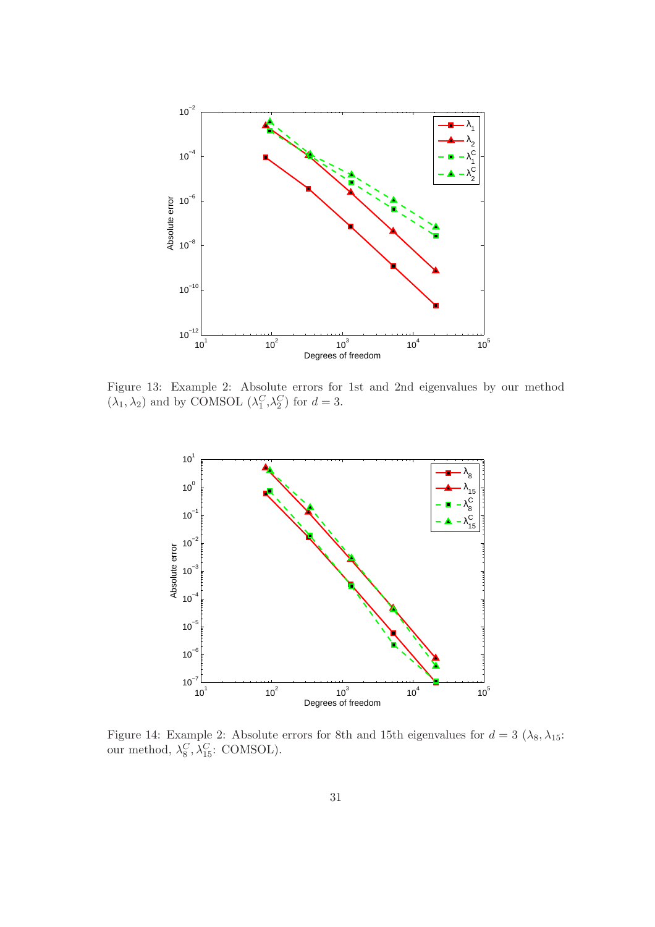

Figure 13: Example 2: Absolute errors for 1st and 2nd eigenvalues by our method  $(\lambda_1, \lambda_2)$  and by COMSOL  $(\lambda_1^C, \lambda_2^C)$  for  $d = 3$ .



Figure 14: Example 2: Absolute errors for 8th and 15th eigenvalues for  $d = 3 \ (\lambda_8, \lambda_{15})$ : our method,  $\lambda_8^C, \lambda_{15}^C$ : COMSOL).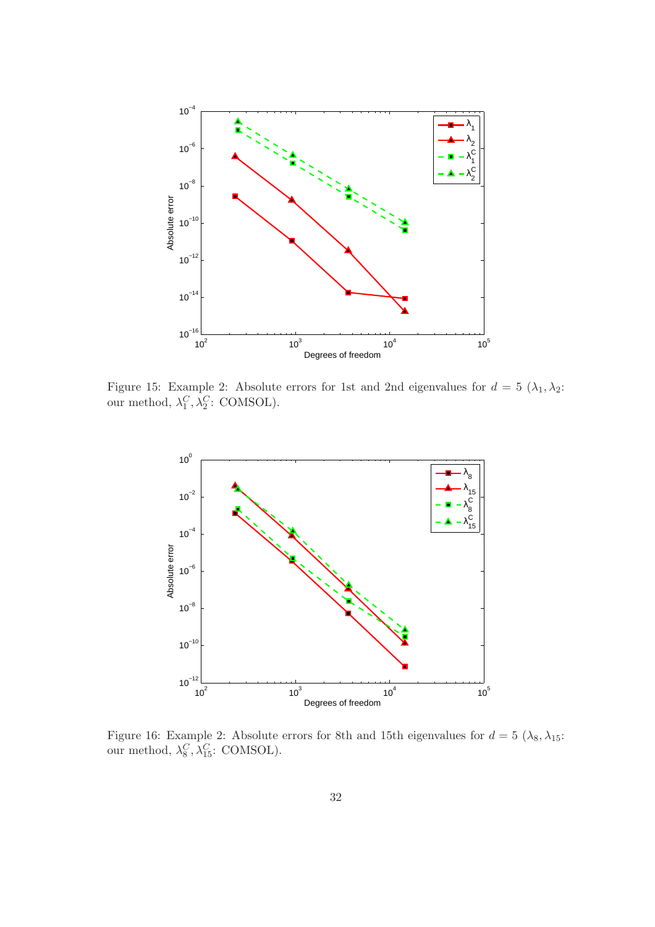

Figure 15: Example 2: Absolute errors for 1st and 2nd eigenvalues for  $d = 5(\lambda_1, \lambda_2)$ : our method,  $\lambda_1^C, \lambda_2^C$ : COMSOL).



Figure 16: Example 2: Absolute errors for 8th and 15th eigenvalues for  $d = 5 \ (\lambda_8, \lambda_{15})$ : our method,  $\lambda_8^C, \lambda_{15}^C$ : COMSOL).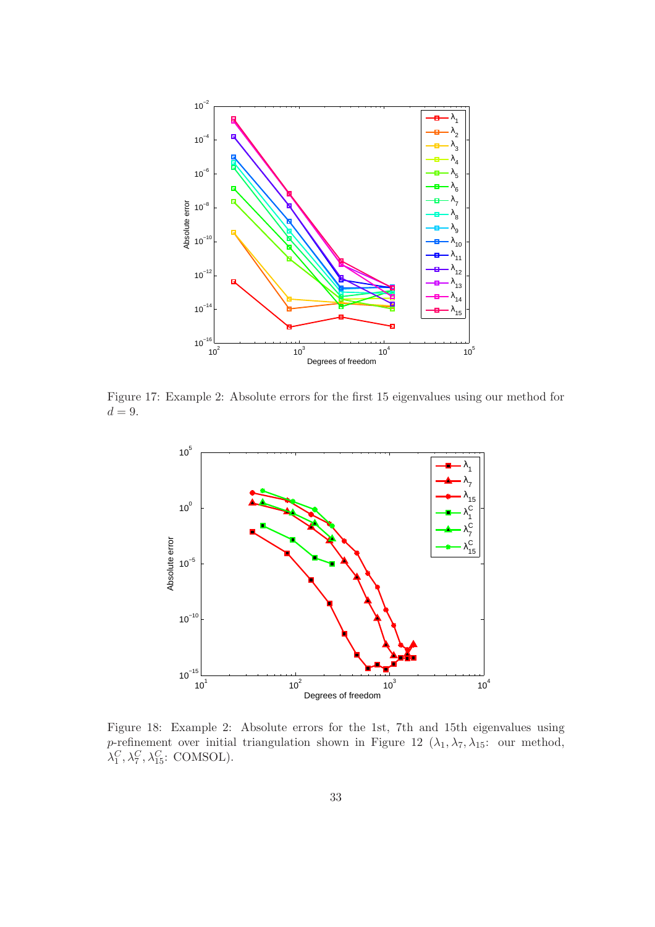

Figure 17: Example 2: Absolute errors for the first 15 eigenvalues using our method for  $d = 9$ .



Figure 18: Example 2: Absolute errors for the 1st, 7th and 15th eigenvalues using p-refinement over initial triangulation shown in Figure 12  $(\lambda_1, \lambda_7, \lambda_{15})$ : our method,  $\lambda_1^C, \lambda_7^C, \lambda_{15}^C$ : COMSOL).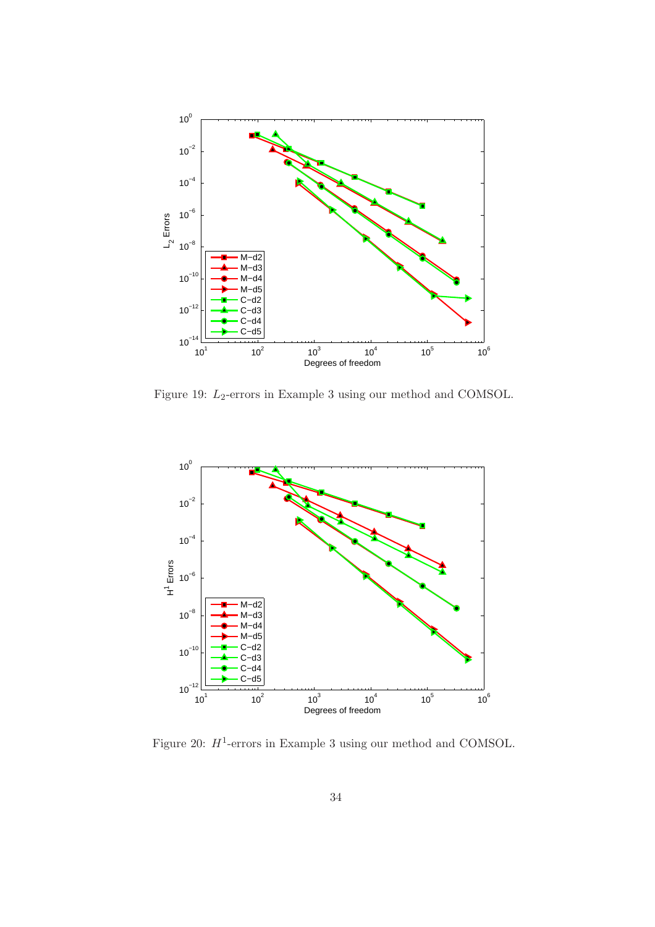

Figure 19:  $L_2\text{-errors}$  in Example 3 using our method and COMSOL.



Figure 20:  $H^1$ -errors in Example 3 using our method and COMSOL.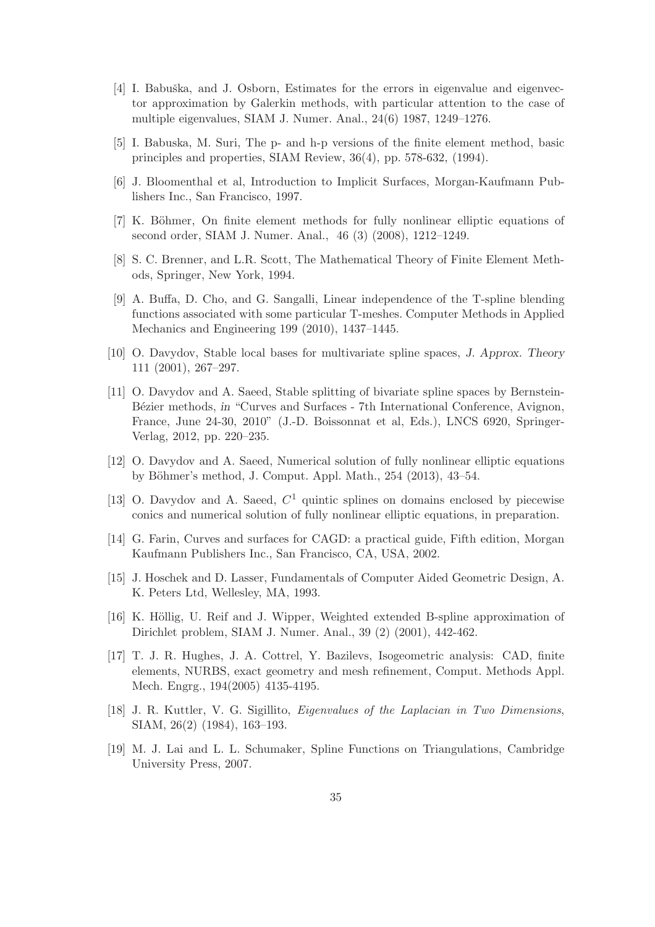- [4] I. Babuška, and J. Osborn, Estimates for the errors in eigenvalue and eigenvector approximation by Galerkin methods, with particular attention to the case of multiple eigenvalues, SIAM J. Numer. Anal., 24(6) 1987, 1249–1276.
- [5] I. Babuska, M. Suri, The p- and h-p versions of the finite element method, basic principles and properties, SIAM Review, 36(4), pp. 578-632, (1994).
- [6] J. Bloomenthal et al, Introduction to Implicit Surfaces, Morgan-Kaufmann Publishers Inc., San Francisco, 1997.
- [7] K. Böhmer, On finite element methods for fully nonlinear elliptic equations of second order, SIAM J. Numer. Anal., 46 (3) (2008), 1212–1249.
- [8] S. C. Brenner, and L.R. Scott, The Mathematical Theory of Finite Element Methods, Springer, New York, 1994.
- [9] A. Buffa, D. Cho, and G. Sangalli, Linear independence of the T-spline blending functions associated with some particular T-meshes. Computer Methods in Applied Mechanics and Engineering 199 (2010), 1437–1445.
- [10] O. Davydov, Stable local bases for multivariate spline spaces, J. Approx. Theory 111 (2001), 267–297.
- [11] O. Davydov and A. Saeed, Stable splitting of bivariate spline spaces by Bernstein-Bézier methods, in "Curves and Surfaces - 7th International Conference, Avignon, France, June 24-30, 2010" (J.-D. Boissonnat et al, Eds.), LNCS 6920, Springer-Verlag, 2012, pp. 220–235.
- [12] O. Davydov and A. Saeed, Numerical solution of fully nonlinear elliptic equations by Böhmer's method, J. Comput. Appl. Math., 254 (2013), 43–54.
- [13] O. Davydov and A. Saeed,  $C<sup>1</sup>$  quintic splines on domains enclosed by piecewise conics and numerical solution of fully nonlinear elliptic equations, in preparation.
- [14] G. Farin, Curves and surfaces for CAGD: a practical guide, Fifth edition, Morgan Kaufmann Publishers Inc., San Francisco, CA, USA, 2002.
- [15] J. Hoschek and D. Lasser, Fundamentals of Computer Aided Geometric Design, A. K. Peters Ltd, Wellesley, MA, 1993.
- [16] K. Höllig, U. Reif and J. Wipper, Weighted extended B-spline approximation of Dirichlet problem, SIAM J. Numer. Anal., 39 (2) (2001), 442-462.
- [17] T. J. R. Hughes, J. A. Cottrel, Y. Bazilevs, Isogeometric analysis: CAD, finite elements, NURBS, exact geometry and mesh refinement, Comput. Methods Appl. Mech. Engrg., 194(2005) 4135-4195.
- [18] J. R. Kuttler, V. G. Sigillito, Eigenvalues of the Laplacian in Two Dimensions, SIAM, 26(2) (1984), 163–193.
- [19] M. J. Lai and L. L. Schumaker, Spline Functions on Triangulations, Cambridge University Press, 2007.